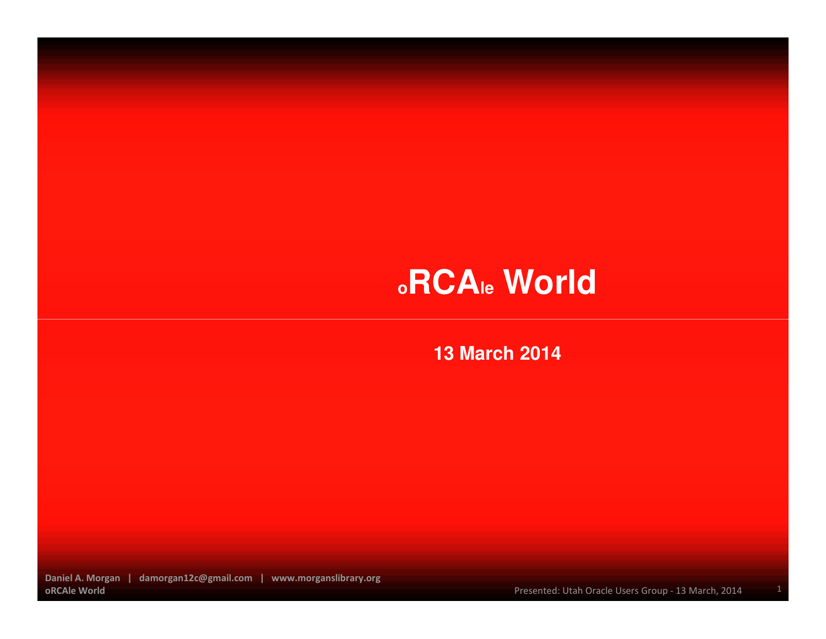#### **13 March 2014**

Daniel A. Morgan | damorgan12c@gmail.com | www.morganslibrary.orgoRCAle World

Presented: Utah Oracle Users Group - 13 March, 2014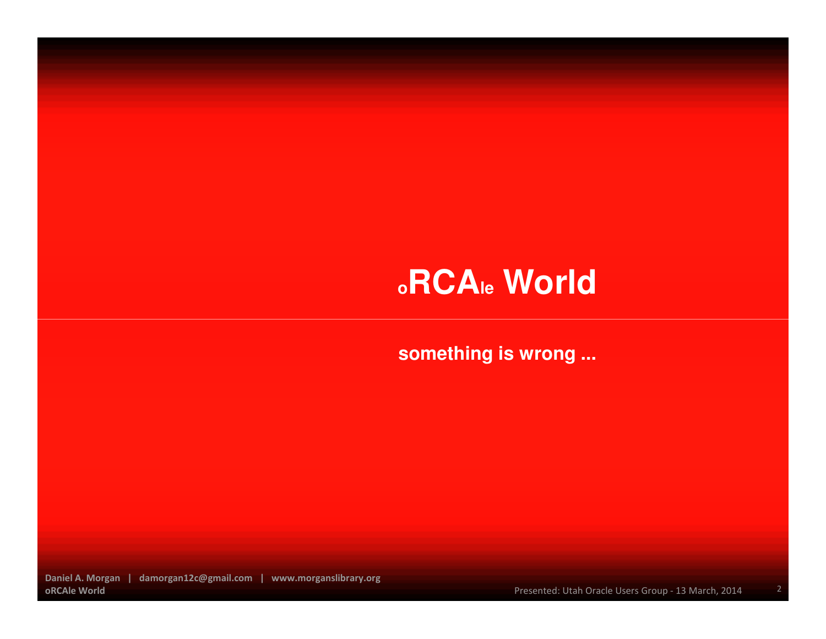**something is wrong ...** 

Daniel A. Morgan | damorgan12c@gmail.com | www.morganslibrary.orgoRCAle World

Presented: Utah Oracle Users Group - 13 March, 2014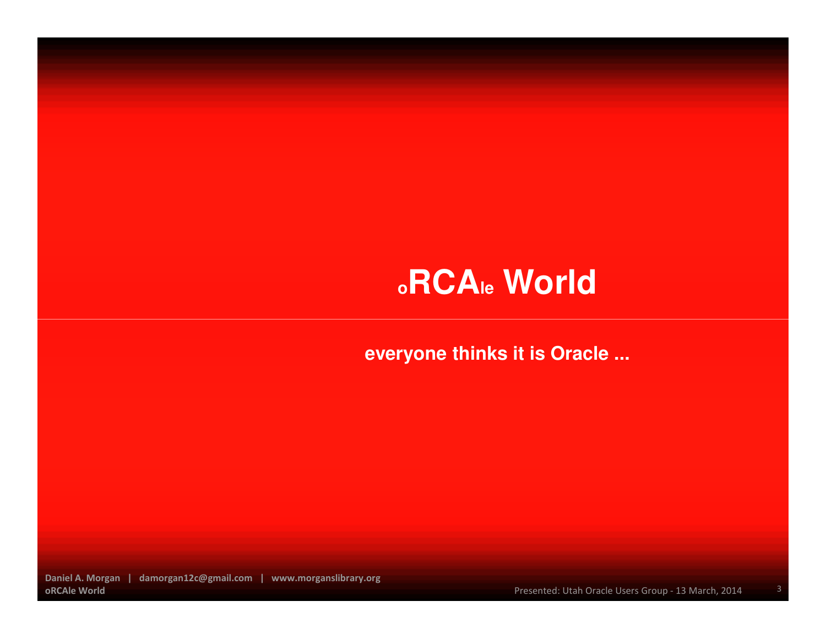**everyone thinks it is Oracle ...**

Daniel A. Morgan | damorgan12c@gmail.com | www.morganslibrary.orgoRCAle World

Presented: Utah Oracle Users Group - 13 March, 2014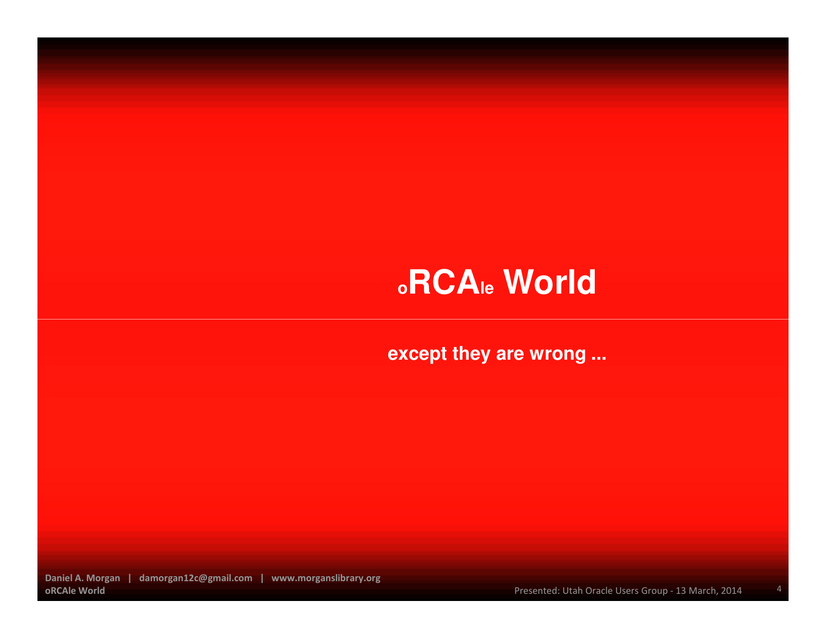**except they are wrong ...**

Daniel A. Morgan | damorgan12c@gmail.com | www.morganslibrary.orgoRCAle World

Presented: Utah Oracle Users Group - 13 March, 2014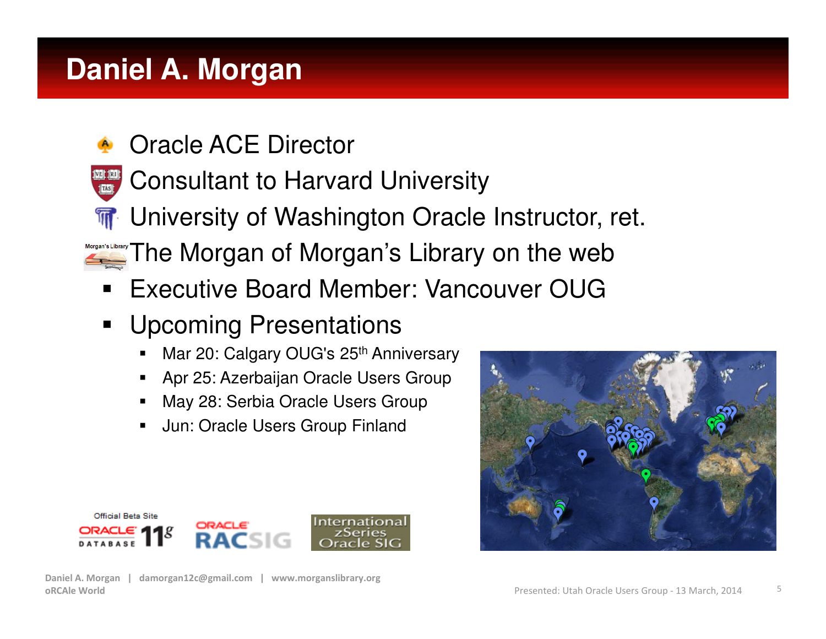## **Daniel A. Morgan**

- n, Oracle ACE Director
- r Consultant to Harvard University
- **T** University of Washington Oracle Instructor, ret. П
- b. **The Morgan of Morgan's Library on the web**
- Executive Board Member: Vancouver OUG
- $\blacksquare$  Upcoming Presentations
	- Mar 20: Calgary OUG's 25<sup>th</sup> Anniversary ■
	- Apr 25: Azerbaijan Oracle Users Group
	- May 28: Serbia Oracle Users Group
	- Jun: Oracle Users Group Finland



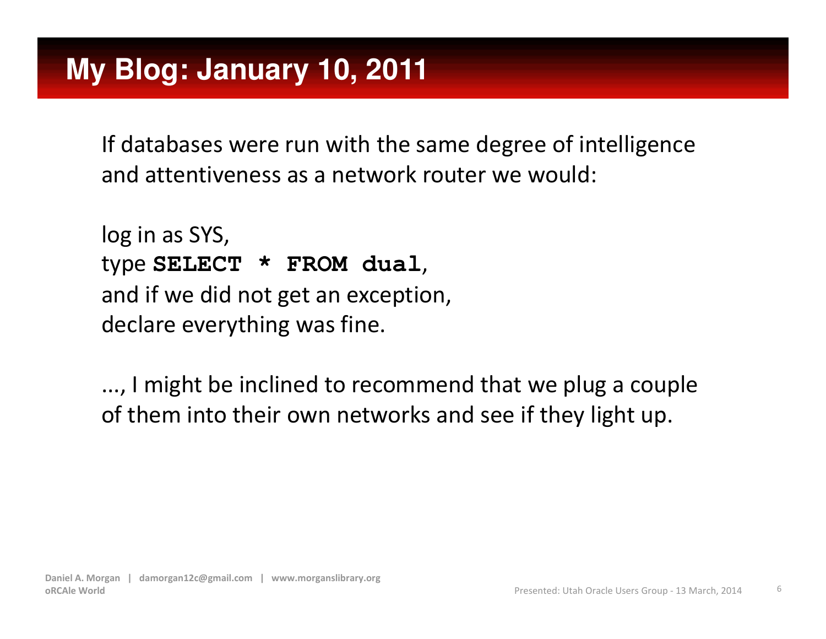If databases were run with the same degree of intelligence and attentiveness as a network router we would:

```
log in as SYS,type SELECT * FROM dual, and if we did not get an exception,declare everything was fine.
```
..., I might be inclined to recommend that we plug a couple of them into their own networks and see if they light up.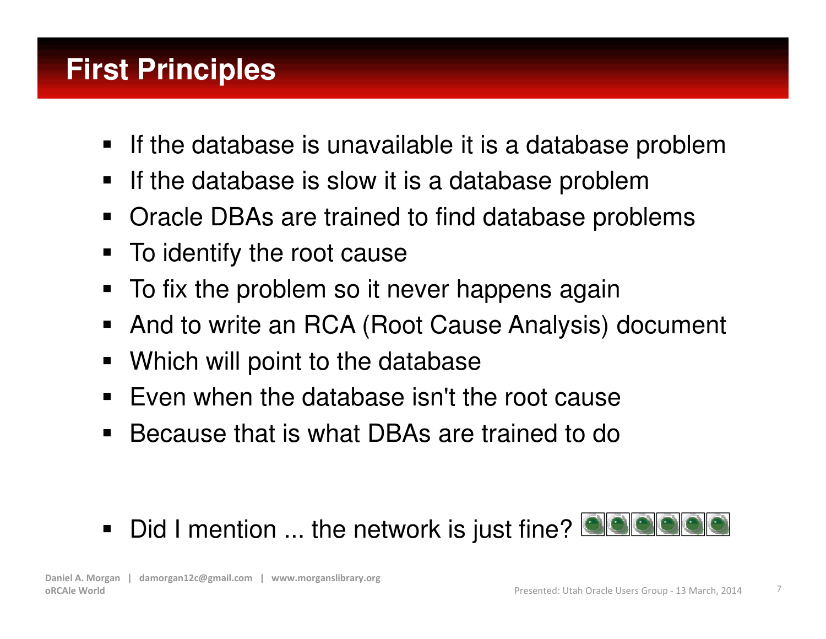## **First Principles**

- $\blacksquare$ If the database is unavailable it is a database problem
- $\blacksquare$ If the database is slow it is a database problem
- **Oracle DBAs are trained to find database problems**  $\blacksquare$
- $\blacksquare$ To identify the root cause
- To fix the problem so it never happens again
- $\blacksquare$ And to write an RCA (Root Cause Analysis) document
- $\blacksquare$ Which will point to the database
- Even when the database isn't the root cause
- $\blacksquare$ Because that is what DBAs are trained to do
- $\blacksquare$ Did I mention ... the network is just fine?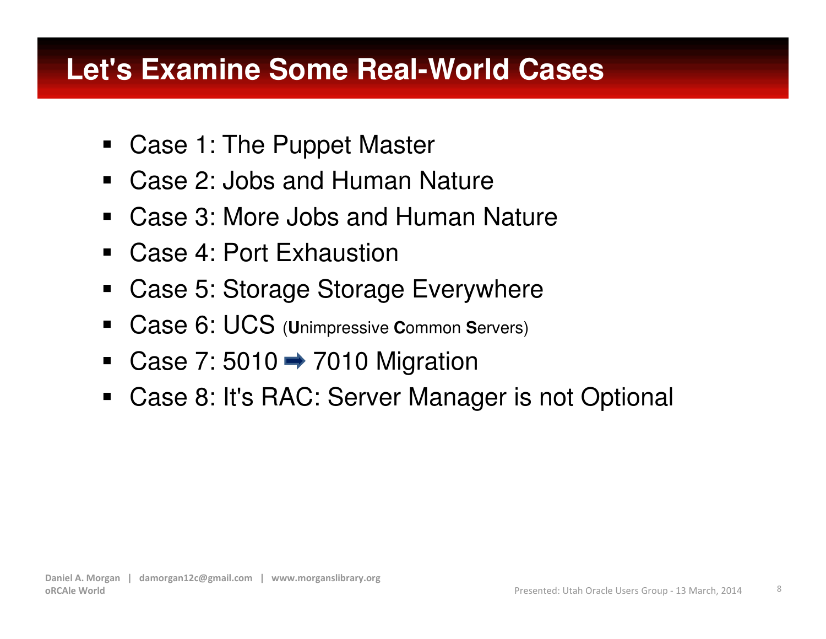## **Let's Examine Some Real-World Cases**

- $\blacksquare$ Case 1: The Puppet Master
- $\blacksquare$ Case 2: Jobs and Human Nature
- $\blacksquare$ Case 3: More Jobs and Human Nature
- $\blacksquare$ Case 4: Port Exhaustion
- $\blacksquare$ Case 5: Storage Storage Everywhere
- $\blacksquare$ ■ Case 6: UCS (Unimpressive Common Servers)
- $\blacksquare$ Case 7: 5010  $\rightarrow$  7010 Migration
- Case 8: It's RAC: Server Manager is not Optional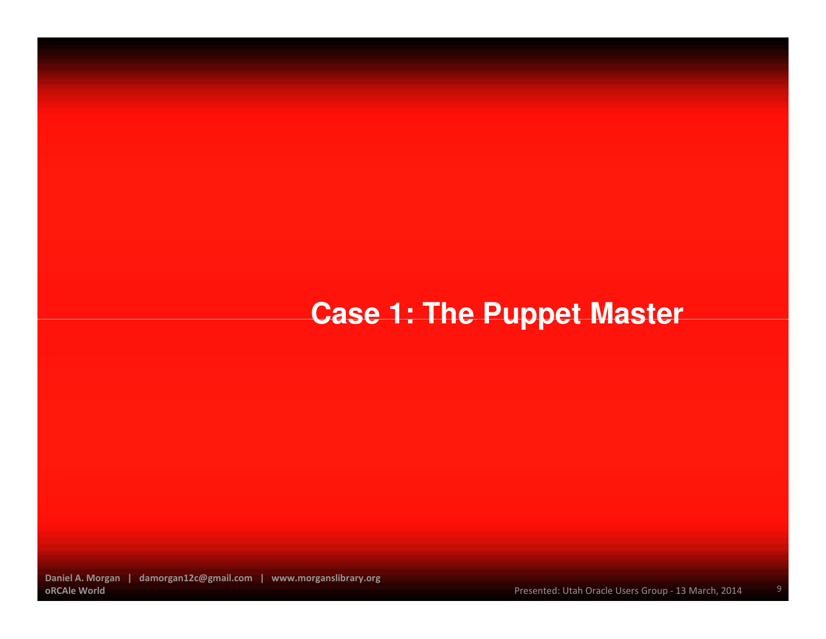## **Case 1: The Puppet Master**

Daniel A. Morgan | damorgan12c@gmail.com | www.morganslibrary.orgoRCAle World

Presented: Utah Oracle Users Group - 13 March, 2014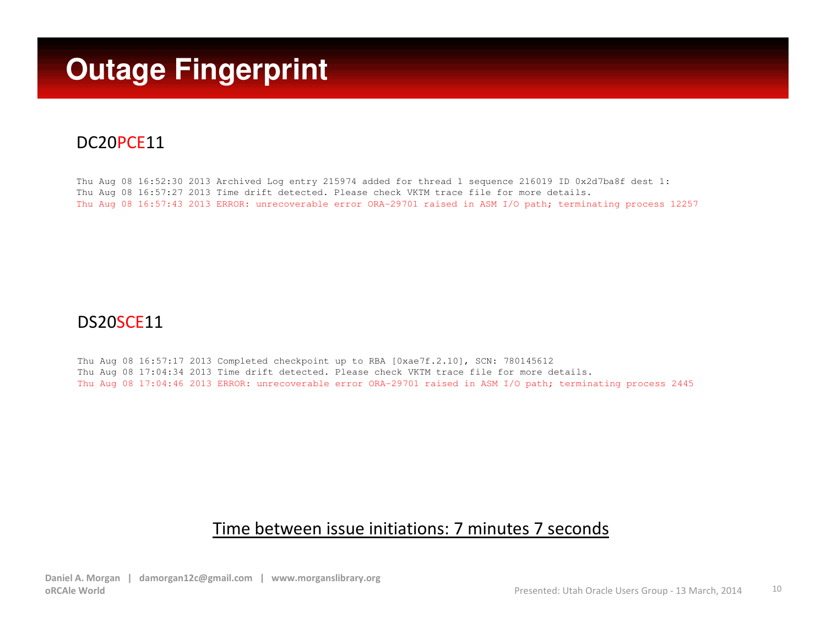## **Outage Fingerprint**

#### DC20PCE11

Thu Aug 08 16:52:30 2013 Archived Log entry 215974 added for thread 1 sequence 216019 ID 0x2d7ba8f dest 1: Thu Aug 08 16:57:27 2013 Time drift detected. Please check VKTM trace file for more details.Thu Aug 08 16:57:43 2013 ERROR: unrecoverable error ORA-29701 raised in ASM I/O path; terminating process 12257

#### DS20SCE11

Thu Aug 08 16:57:17 2013 Completed checkpoint up to RBA [0xae7f.2.10], SCN: 780145612 Thu Aug 08 17:04:34 2013 Time drift detected. Please check VKTM trace file for more details.Thu Aug 08 17:04:46 2013 ERROR: unrecoverable error ORA-29701 raised in ASM I/O path; terminating process 2445

#### Time between issue initiations: 7 minutes 7 seconds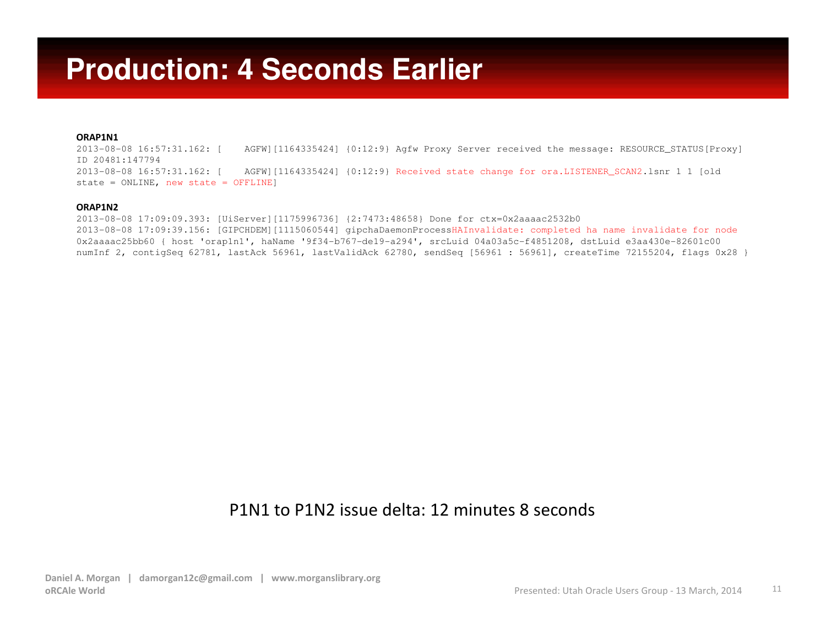#### **Production: 4 Seconds Earlier**

#### ORAP1N1

2013-08-08 16:57:31.162: [ 2013-08-08 16:57:31.162: [ AGFW][1164335424] {0:12:9} Agfw Proxy Server received the message: RESOURCE\_STATUS[Proxy] ID 20481:1477942013-08-08 16:57:31.162: [ 2013-08-08 16:57:31.162: [ AGFW][1164335424] {0:12:9} Received state change for ora.LISTENER\_SCAN2.lsnr 1 1 [old state = ONLINE, new state = OFFLINE]

#### ORAP1N2

 2013-08-08 17:09:09.393: [UiServer][1175996736] {2:7473:48658} Done for ctx=0x2aaaac2532b0 2013-08-08 17:09:39.156: [GIPCHDEM][1115060544] gipchaDaemonProcessHAInvalidate: completed ha name invalidate for node0x2aaaac25bb60 { host 'orap1n1', haName '9f34-b767-de19-a294', srcLuid 04a03a5c-f4851208, dstLuid e3aa430e-82601c00 numInf 2, contigSeq 62781, lastAck 56961, lastValidAck 62780, sendSeq [56961 : 56961], createTime 72155204, flags 0x28 }

#### P1N1 to P1N2 issue delta: 12 minutes 8 seconds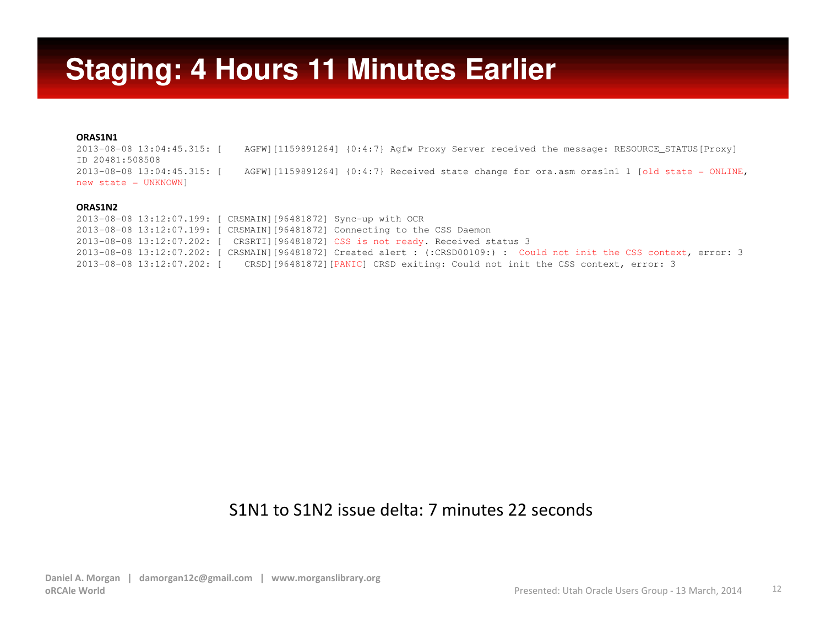#### **Staging: 4 Hours 11 Minutes Earlier**

#### ORAS1N1

2013-08-08 13:04:45.315: [ 2013-08-08 13:04:45.315: [ AGFW][1159891264] {0:4:7} Agfw Proxy Server received the message: RESOURCE\_STATUS[Proxy] ID 20481:5085082013-08-08 13:04:45.315: [ AGFW][1159891264]  ${0:4:7}$  Received state change for ora.asm oras1n1 1 [old state = ONLINE, new state = UNKNOWN]

#### ORAS1N2

 2013-08-08 13:12:07.199: [ CRSMAIN][96481872] Sync-up with OCR 2013-08-08 13:12:07.199: [ CRSMAIN][96481872] Connecting to the CSS Daemon 2013-08-08 13:12:07.202: [ CRSRTI][96481872] CSS is not ready. Received status 3 2013-08-08 13:12:07.202: [ CRSMAIN][96481872] Created alert : (:CRSD00109:) : Could not init the CSS context, error: 3 2013-08-08 13:12:07.202: [ CRSD][96481872][PANIC] CRSD exiting: Could not init the CSS context, error: 3

#### S1N1 to S1N2 issue delta: 7 minutes 22 seconds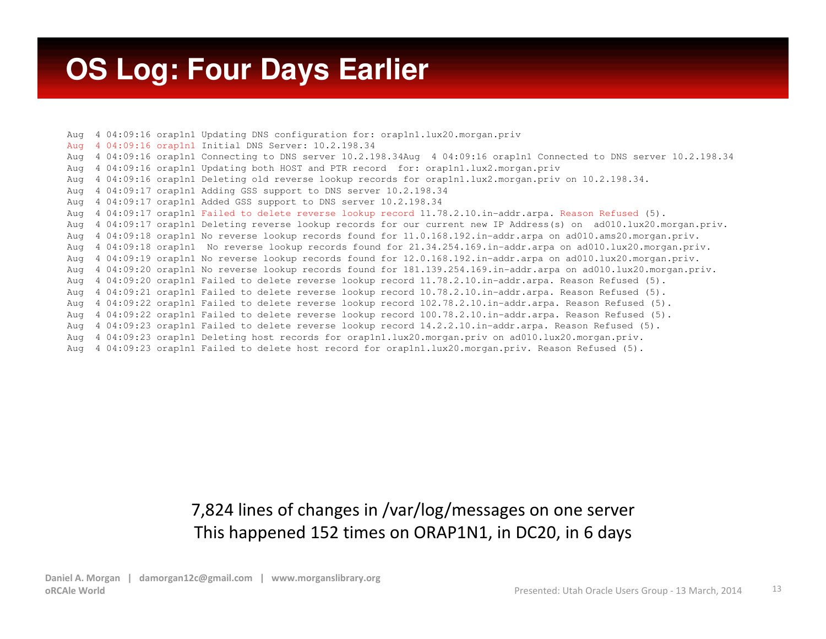#### **OS Log: Four Days Earlier**

Aug 4 04:09:16 orap1n1 Updating DNS configuration for: orap1n1.lux20.morgan.privAug 4 04:09:16 orap1n1 Initial DNS Server: 10.2.198.34 Aug 4 04:09:16 orap1n1 Connecting to DNS server 10.2.198.34Aug 4 04:09:16 orap1n1 Connected to DNS server 10.2.198.34Aug 4 04:09:16 orap1n1 Updating both HOST and PTR record for: orap1n1.lux2.morgan.priv Aug 4 04:09:16 orap1n1 Deleting old reverse lookup records for orap1n1.lux2.morgan.priv on 10.2.198.34.Aug 4 04:09:17 orap1n1 Adding GSS support to DNS server 10.2.198.34 Aug 4 04:09:17 orap1n1 Added GSS support to DNS server 10.2.198.34 Aug 4 04:09:17 orap1n1 Failed to delete reverse lookup record 11.78.2.10.in-addr.arpa. Reason Refused (5). Aug 4 04:09:17 orap1n1 Deleting reverse lookup records for our current new IP Address(s) on ad010.lux20.morgan.priv.Aug 4 04:09:18 orap1n1 No reverse lookup records found for 11.0.168.192.in-addr.arpa on ad010.ams20.morgan.priv. Aug 4 04:09:18 orap1n1 No reverse lookup records found for 21.34.254.169.in-addr.arpa on ad010.lux20.morgan.priv.Aug 4 04:09:19 orap1n1 No reverse lookup records found for 12.0.168.192.in-addr.arpa on ad010.lux20.morgan.priv. Aug 4 04:09:20 orap1n1 No reverse lookup records found for 181.139.254.169.in-addr.arpa on ad010.lux20.morgan.priv.Aug 4 04:09:20 orap1n1 Failed to delete reverse lookup record 11.78.2.10.in-addr.arpa. Reason Refused (5). Aug 4 04:09:21 orap1n1 Failed to delete reverse lookup record 10.78.2.10.in-addr.arpa. Reason Refused (5). Aug 4 04:09:22 orap1n1 Failed to delete reverse lookup record 102.78.2.10.in-addr.arpa. Reason Refused (5). Aug 4 04:09:22 orap1n1 Failed to delete reverse lookup record 100.78.2.10.in-addr.arpa. Reason Refused (5).Aug 4 04:09:23 orap1n1 Failed to delete reverse lookup record 14.2.2.10.in-addr.arpa. Reason Refused (5).Aug 4 04:09:23 orap1n1 Deleting host records for orap1n1.lux20.morgan.priv on ad010.lux20.morgan.priv.Aug 4 04:09:23 orap1n1 Failed to delete host record for orap1n1.lux20.morgan.priv. Reason Refused (5).

#### 7,824 lines of changes in /var/log/messages on one serverThis happened 152 times on ORAP1N1, in DC20, in 6 days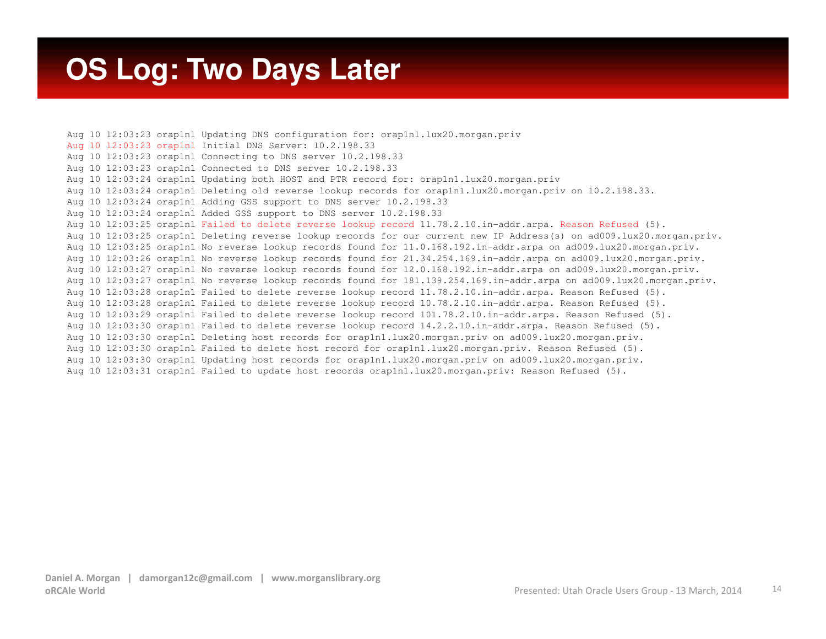#### **OS Log: Two Days Later**

Aug 10 12:03:23 orap1n1 Updating DNS configuration for: orap1n1.lux20.morgan.privAug 10 12:03:23 orap1n1 Initial DNS Server: 10.2.198.33 Aug 10 12:03:23 orap1n1 Connecting to DNS server 10.2.198.33 Aug 10 12:03:23 orap1n1 Connected to DNS server 10.2.198.33 Aug 10 12:03:24 orap1n1 Updating both HOST and PTR record for: orap1n1.lux20.morgan.priv Aug 10 12:03:24 orap1n1 Deleting old reverse lookup records for orap1n1.lux20.morgan.priv on 10.2.198.33. Aug 10 12:03:24 orap1n1 Adding GSS support to DNS server 10.2.198.33 Aug 10 12:03:24 orap1n1 Added GSS support to DNS server 10.2.198.33 Aug 10 12:03:25 orap1n1 Failed to delete reverse lookup record 11.78.2.10.in-addr.arpa. Reason Refused (5). Aug 10 12:03:25 orap1n1 Deleting reverse lookup records for our current new IP Address(s) on ad009.lux20.morgan.priv.Aug 10 12:03:25 orap1n1 No reverse lookup records found for 11.0.168.192.in-addr.arpa on ad009.lux20.morgan.priv. Aug 10 12:03:26 orap1n1 No reverse lookup records found for 21.34.254.169.in-addr.arpa on ad009.lux20.morgan.priv.Aug 10 12:03:27 orap1n1 No reverse lookup records found for 12.0.168.192.in-addr.arpa on ad009.lux20.morgan.priv. Aug 10 12:03:27 orap1n1 No reverse lookup records found for 181.139.254.169.in-addr.arpa on ad009.lux20.morgan.priv.Aug 10 12:03:28 orap1n1 Failed to delete reverse lookup record 11.78.2.10.in-addr.arpa. Reason Refused (5). Aug 10 12:03:28 orap1n1 Failed to delete reverse lookup record 10.78.2.10.in-addr.arpa. Reason Refused (5). Aug 10 12:03:29 orap1n1 Failed to delete reverse lookup record 101.78.2.10.in-addr.arpa. Reason Refused (5).Aug 10 12:03:30 orap1n1 Failed to delete reverse lookup record 14.2.2.10.in-addr.arpa. Reason Refused (5).Aug 10 12:03:30 orap1n1 Deleting host records for orap1n1.lux20.morgan.priv on ad009.lux20.morgan.priv. Aug 10 12:03:30 orap1n1 Failed to delete host record for orap1n1.lux20.morgan.priv. Reason Refused (5). Aug 10 12:03:30 orap1n1 Updating host records for orap1n1.lux20.morgan.priv on ad009.lux20.morgan.priv.Aug 10 12:03:31 orap1n1 Failed to update host records orap1n1.lux20.morgan.priv: Reason Refused (5).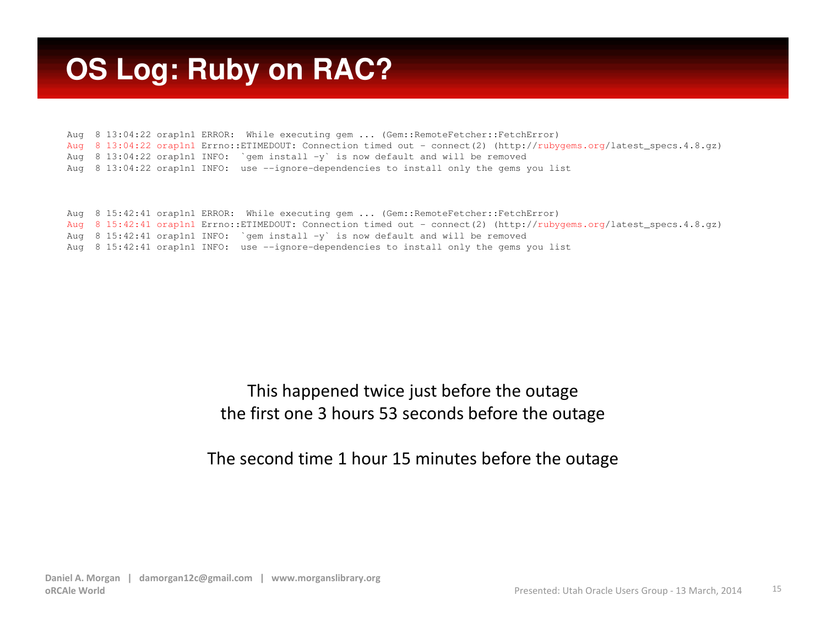### **OS Log: Ruby on RAC?**

Aug 8 13:04:22 orap1n1 ERROR: While executing gem ... (Gem::RemoteFetcher::FetchError) Aug 8 13:04:22 orap1n1 Errno::ETIMEDOUT: Connection timed out - connect(2) (http://rubygems.org/latest\_specs.4.8.gz) Aug 8 13:04:22 orap1n1 INFO: `gem install -y` is now default and will be removedAug 8 13:04:22 orap1n1 INFO: use --ignore-dependencies to install only the gems you list

```
Aug 8 15:42:41 orap1n1 ERROR: While executing gem ... (Gem::RemoteFetcher::FetchError)
Aug 8 15:42:41 orap1n1 Errno::ETIMEDOUT: Connection timed out - connect(2) (http://rubygems.org/latest_specs.4.8.gz)
Aug 8 15:42:41 orap1n1 INFO: `gem install -y` is now default and will be removed

Aug 8 15:42:41 orap1n1 INFO: use --ignore-dependencies to install only the gems you list
```
#### This happened twice just before the outagethe first one 3 hours 53 seconds before the outage

#### The second time 1 hour 15 minutes before the outage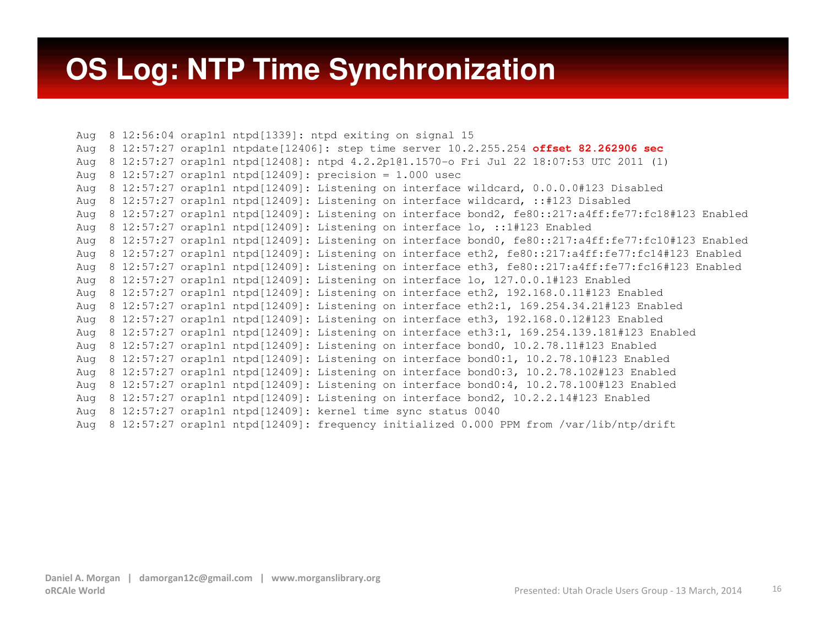#### **OS Log: NTP Time Synchronization**

Aug 8 12:56:04 orap1n1 ntpd[1339]: ntpd exiting on signal 15 Aug 8 12:57:27 orap1n1 ntpdate[12406]: step time server 10.2.255.254 **offset 82.262906 sec** Aug 8 12:57:27 orap1n1 ntpd[12408]: ntpd 4.2.2p1@1.1570-o Fri Jul 22 18:07:53 UTC 2011 (1) Aug 8 12:57:27 orap1n1 ntpd[12409]: precision = 1.000 usec Aug 8 12:57:27 orap1n1 ntpd[12409]: Listening on interface wildcard, 0.0.0.0#123 DisabledAug 8 12:57:27 orap1n1 ntpd[12409]: Listening on interface wildcard, ::#123 Disabled Aug 8 12:57:27 orap1n1 ntpd[12409]: Listening on interface bond2, fe80::217:a4ff:fe77:fc18#123 EnabledAug 8 12:57:27 orap1n1 ntpd[12409]: Listening on interface lo, ::1#123 Enabled Aug 8 12:57:27 orap1n1 ntpd[12409]: Listening on interface bond0, fe80::217:a4ff:fe77:fc10#123 Enabled Aug 8 12:57:27 orap1n1 ntpd[12409]: Listening on interface eth2, fe80::217:a4ff:fe77:fc14#123 Enabled Aug 8 12:57:27 orap1n1 ntpd[12409]: Listening on interface eth3, fe80::217:a4ff:fe77:fc16#123 EnabledAug 8 12:57:27 orap1n1 ntpd[12409]: Listening on interface lo, 127.0.0.1#123 Enabled Aug 8 12:57:27 orap1n1 ntpd[12409]: Listening on interface eth2, 192.168.0.11#123 Enabled Aug 8 12:57:27 orap1n1 ntpd[12409]: Listening on interface eth2:1, 169.254.34.21#123 EnabledAug 8 12:57:27 orap1n1 ntpd[12409]: Listening on interface eth3, 192.168.0.12#123 Enabled Aug 8 12:57:27 orap1n1 ntpd[12409]: Listening on interface eth3:1, 169.254.139.181#123 EnabledAug 8 12:57:27 orap1n1 ntpd[12409]: Listening on interface bond0, 10.2.78.11#123 Enabled Aug 8 12:57:27 orap1n1 ntpd[12409]: Listening on interface bond0:1, 10.2.78.10#123 Enabled Aug 8 12:57:27 orap1n1 ntpd[12409]: Listening on interface bond0:3, 10.2.78.102#123 Enabled Aug 8 12:57:27 orap1n1 ntpd[12409]: Listening on interface bond0:4, 10.2.78.100#123 EnabledAug 8 12:57:27 orap1n1 ntpd[12409]: Listening on interface bond2, 10.2.2.14#123 EnabledAug 8 12:57:27 orap1n1 ntpd[12409]: kernel time sync status 0040Aug 8 12:57:27 orap1n1 ntpd[12409]: frequency initialized 0.000 PPM from /var/lib/ntp/drift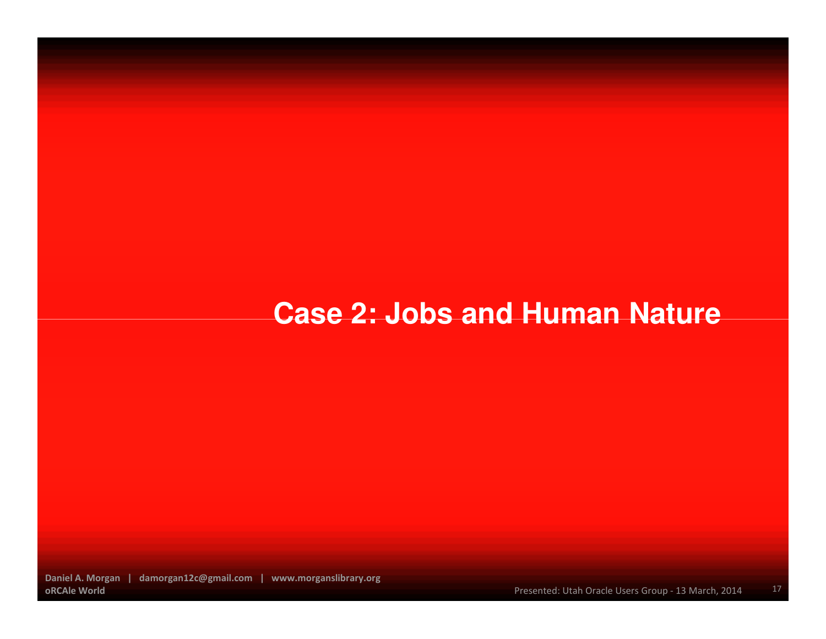#### **Case 2: Jobs and Human Nature**

Daniel A. Morgan | damorgan12c@gmail.com | www.morganslibrary.orgoRCAle World

17Presented: Utah Oracle Users Group - 13 March, 2014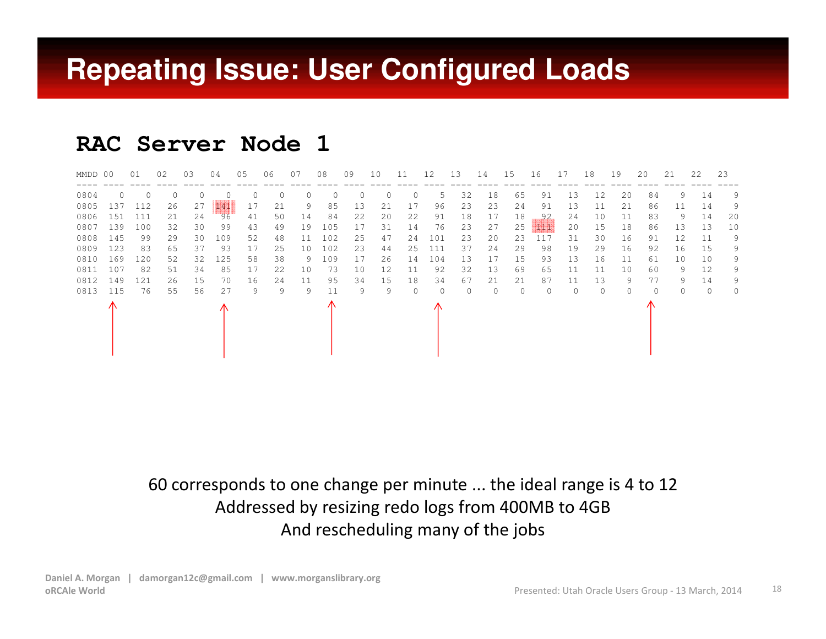#### **Repeating Issue: User Configured Loads**

#### **RAC Server Node 1**

| MMDD 00 |          | 01       | 02       | 03       | 04       | 05       | 06       | 07       | 08         | 09 | 10       | 11       | 12       | 13       | 14       | 15       | 16       | 17       | 18       | 19       | 20 | 21       | 2.2. | -23      |
|---------|----------|----------|----------|----------|----------|----------|----------|----------|------------|----|----------|----------|----------|----------|----------|----------|----------|----------|----------|----------|----|----------|------|----------|
| 0804    | $\Omega$ | $\Omega$ | $\Omega$ | $\Omega$ | $\Omega$ | $\Omega$ | $\Omega$ | $\Omega$ | $\Omega$   | 0  | $\Omega$ | 0        | 5        | 32       | 18       | 65       | 91       | -1.3     | 12       | 20       | 84 | 9.       | 14   | 9        |
| 0805    | 137      | 112      | 26       | 27       | - 44     | 17       | 21       | 9        | 85         | 13 | 21       | 17       | 96       | 23       | 23       | 24       | 91       | 13       | 11       | 21       | 86 | 11       | 14   | 9        |
| 0806    | 151      | 111      | 21       | 24       | 96       | 41       | 50       | 14       | 84         | 22 | 20       | 22       | 91       | 18       | 17       | 18       | .92      | 24       | 10       | 11       | 83 | 9        | 14   | 20       |
| 0807    | 139      | 100      | 32       | 30       | 99       | 43       | 49       | 19       | 105        | 17 | 31       | 14       | 76       | 23       | 27       | 25       | HEANIN   | 20       | 15       | 18       | 86 | 13       | 13   | 10       |
| 0808    | 145      | 99       | 29       | 30       | 109      | 52       | 48       | 11       | 102        | 25 | 47       | 24       | 101      | 23       | 20       | 23       | 117      | 31       | 30       | 16       | 91 | 12       | -11  | 9        |
| 0809    | 123      | 83       | 65       | 37       | 93       | 17       | 25       | 10       | 102        | 23 | 44       | 25       | 111      | 37       | 24       | 29       | 98       | 19       | 29       | 16       | 92 | 16       | 1.5  | 9        |
| 0810    | 169      | 120      | 52       | 32       | 125      | 58       | 38       | 9        | 109        | 17 | 26       | 14       | 104      | 13       | 17       | 15       | 93       | 13       | 16       | 11       | 61 | 10       | 10   | 9        |
| 0811    | 107      | 82       | 51       | 34       | 85       | 17       | 22       | 10       | 73         | 10 | 12       | 11       | 92       | 32       | 13       | 69       | 65       | 11       | 11       | 10       | 60 | 9        | 12.  | 9        |
| 0812    | 149      | 121      | 26       | 15       | 70       | 16       | 24       | 11       | 95         | 34 | 15       | 18       | 34       | 67       | 21       | 21       | 87       | 11       | 13       | 9        | 77 | 9        | 14   | 9        |
| 0813    | 115      | 76       | 55       | 56       | 27       | 9        | 9        | 9        | 11         | 9  | 9        | $\Omega$ | $\Omega$ | $\Omega$ | $\Omega$ | $\Omega$ | $\Omega$ | $\Omega$ | $\Omega$ | $\Omega$ | 0  | $\Omega$ | O    | $\Omega$ |
|         |          |          |          |          |          |          |          |          | $\sqrt{N}$ |    |          |          | 71       |          |          |          |          |          |          |          |    |          |      |          |

60 corresponds to one change per minute ... the ideal range is 4 to 12 Addressed by resizing redo logs from 400MB to 4GBAnd rescheduling many of the jobs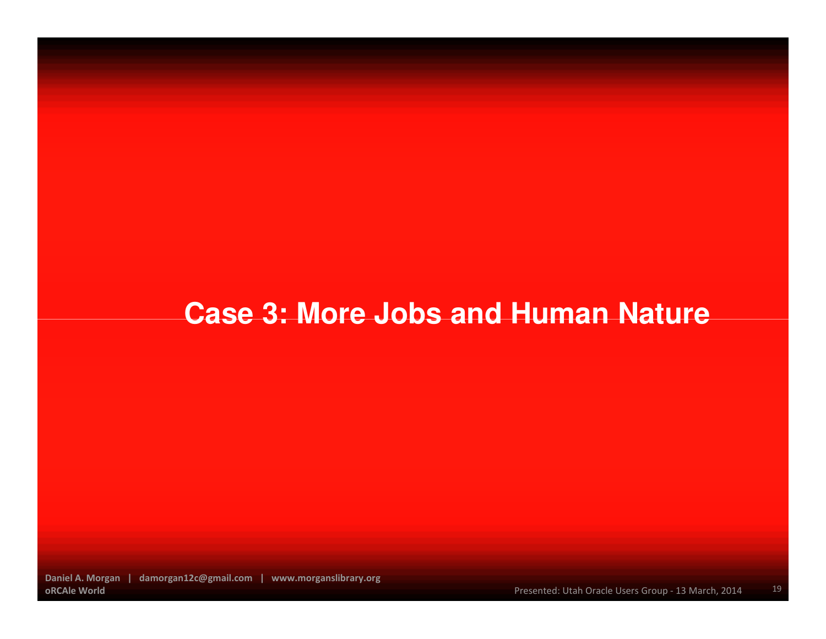#### **Case 3: More Jobs and Human Nature**

Daniel A. Morgan | damorgan12c@gmail.com | www.morganslibrary.orgoRCAle World

19Presented: Utah Oracle Users Group - 13 March, 2014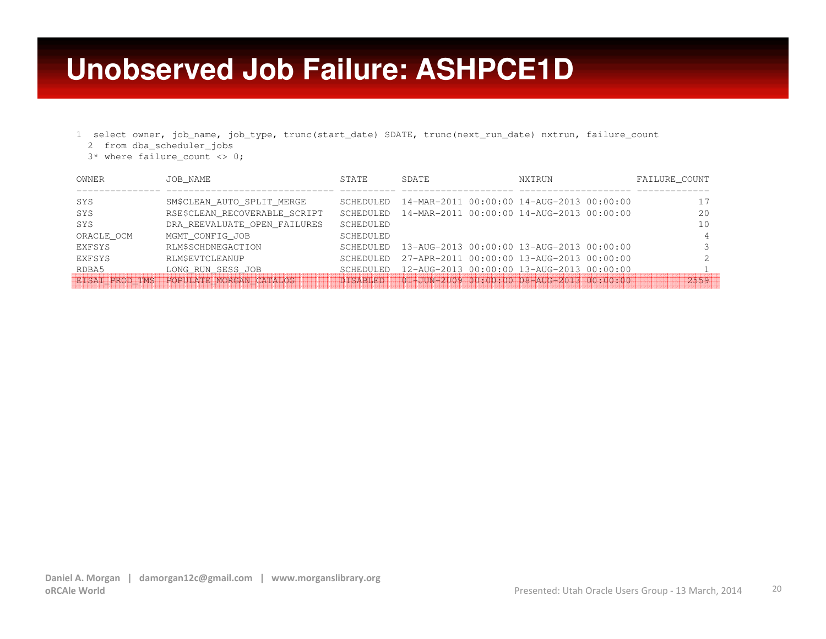#### **Unobserved Job Failure: ASHPCE1D**

- 1 select owner, job\_name, job\_type, trunc(start\_date) SDATE, trunc(next\_run\_date) nxtrun, failure\_count
	- 2 from dba\_scheduler\_jobs
	- 3\* where failure\_count <> 0;

| OWNER                 | JOB NAME                      | STATE            | SDATE                                     | NXTRUN                                    | FAILURE COUNT |
|-----------------------|-------------------------------|------------------|-------------------------------------------|-------------------------------------------|---------------|
|                       |                               |                  |                                           |                                           |               |
| SYS                   | SM\$CLEAN AUTO SPLIT MERGE    | <b>SCHEDULED</b> |                                           | 14-MAR-2011 00:00:00 14-AUG-2013 00:00:00 |               |
| SYS                   | RSE\$CLEAN RECOVERABLE SCRIPT | <b>SCHEDULED</b> |                                           | 14-MAR-2011 00:00:00 14-AUG-2013 00:00:00 | 20            |
| SYS                   | DRA REEVALUATE OPEN FAILURES  | SCHEDULED        |                                           |                                           | 10            |
| ORACLE OCM            | MGMT CONFIG JOB               | SCHEDULED        |                                           |                                           |               |
| EXFSYS                | <b>RLM\$SCHDNEGACTION</b>     | <b>SCHEDULED</b> | 13-AUG-2013 00:00:00 13-AUG-2013 00:00:00 |                                           |               |
| EXFSYS                | <b>RLM\$EVTCLEANUP</b>        | <b>SCHEDULED</b> |                                           | 27-APR-2011 00:00:00 13-AUG-2013 00:00:00 |               |
| RDBA5                 | LONG RUN SESS JOB             | SCHEDULED        |                                           | 12-AUG-2013 00:00:00 13-AUG-2013 00:00:00 |               |
| <b>EISAI PROD TMS</b> | POPULATE MORGAN CATALOG       | DISABLED         |                                           | 01-JUN=2009 00:00:00 08-AUG-2013 00:00:00 | 2559          |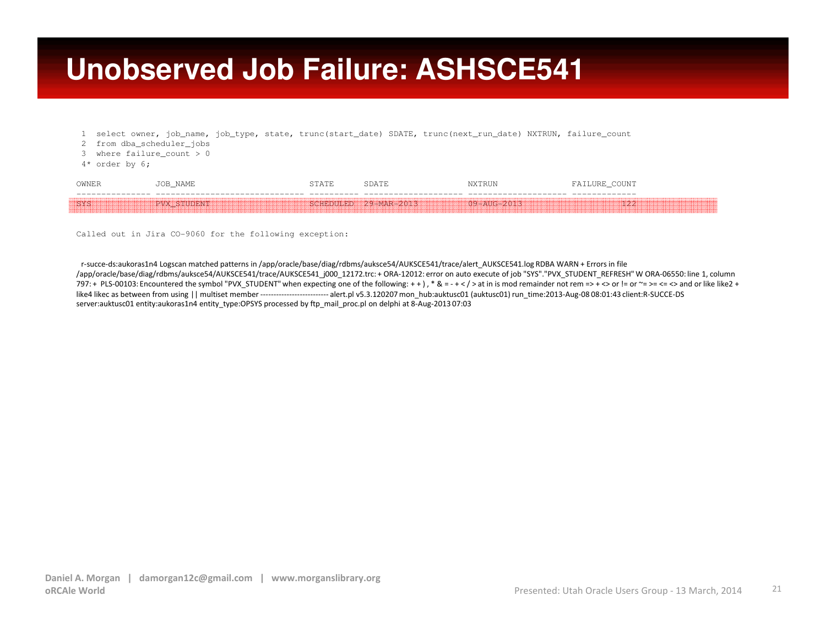#### **Unobserved Job Failure: ASHSCE541**

- 1 select owner, job\_name, job\_type, state, trunc(start\_date) SDATE, trunc(next\_run\_date) NXTRUN, failure\_count
- 2 from dba\_scheduler\_jobs
- 3 where failure\_count > 0
- 4\* order by 6;

| OWNER       | NAME        |                       |             | COUNT<br>FAILURE |
|-------------|-------------|-----------------------|-------------|------------------|
| <b>ESVS</b> | PVX STUDENT | SCHEDULED 29-MAR-2013 | 09-AUG-2013 | つり               |

Called out in Jira CO-9060 for the following exception:

r-succe-ds:aukoras1n4 Logscan matched patterns in /app/oracle/base/diag/rdbms/auksce54/AUKSCE541/trace/alert\_AUKSCE541.log RDBA WARN + Errors in file /app/oracle/base/diag/rdbms/auksce54/AUKSCE541/trace/AUKSCE541\_j000\_12172.trc: + ORA-12012: error on auto execute of job "SYS"."PVX\_STUDENT\_REFRESH" W ORA-06550: line 1, column 797: + PLS-00103: Encountered the symbol "PVX\_STUDENT" when expecting one of the following: + + ) , \* & = - + < / > at in is mod remainder not rem => + <> or != or ~= >= <= <> and or like like2 + like4 likec as between from using || multiset member -------------------------- alert.pl v5.3.120207 mon\_hub:auktusc01 (auktusc01) run\_time:2013-Aug-08 08:01:43 client:R-SUCCE-DS server:auktusc01 entity:aukoras1n4 entity\_type:OPSYS processed by ftp\_mail\_proc.pl on delphi at 8-Aug-2013 07:03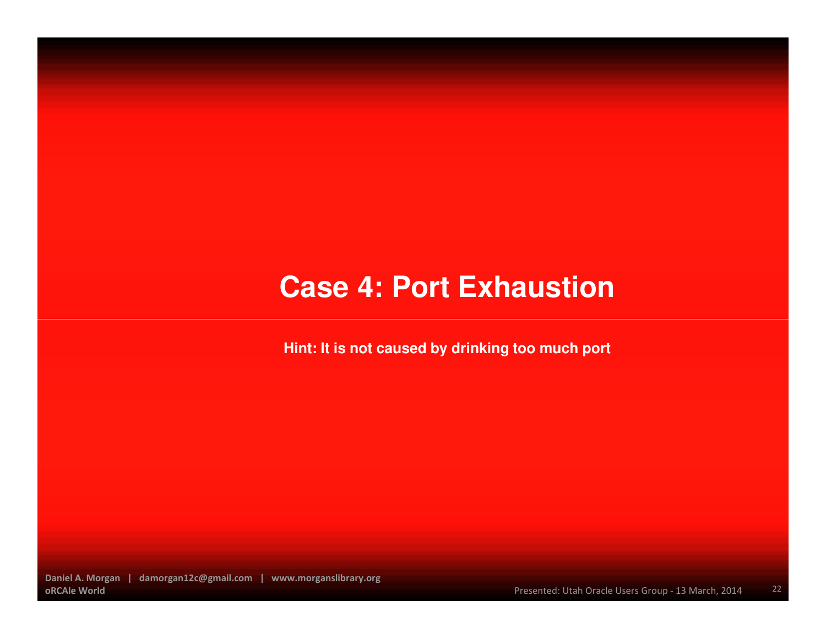#### **Case 4: Port Exhaustion**

**Hint: It is not caused by drinking too much port**

Daniel A. Morgan | damorgan12c@gmail.com | www.morganslibrary.orgoRCAle World

22Presented: Utah Oracle Users Group - 13 March, 2014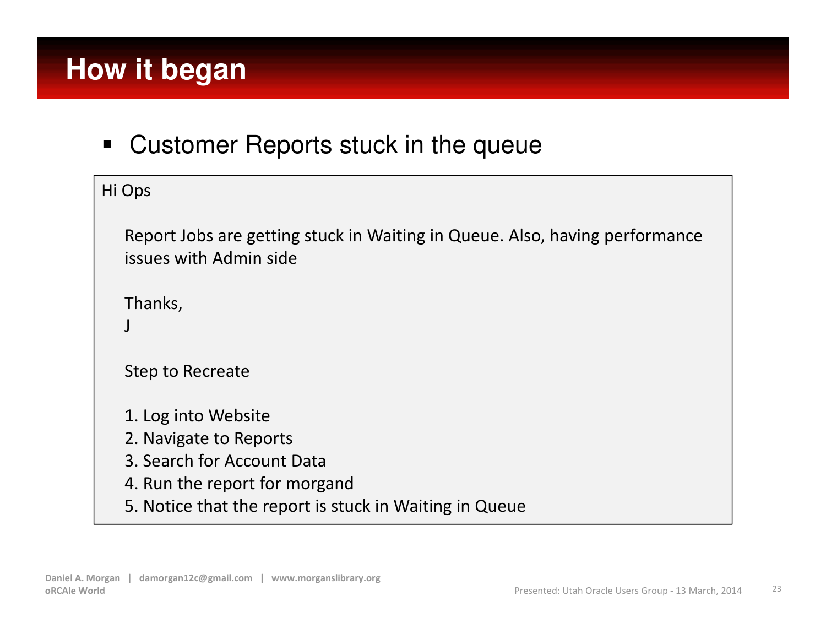Customer Reports stuck in the queue

| Hi Ops |                                                                                                              |
|--------|--------------------------------------------------------------------------------------------------------------|
|        | Report Jobs are getting stuck in Waiting in Queue. Also, having performance<br>issues with Admin side        |
|        | Thanks,                                                                                                      |
|        | Step to Recreate                                                                                             |
|        | 1. Log into Website<br>2. Navigate to Reports<br>3. Search for Account Data<br>4. Run the report for morgand |
|        | 5. Notice that the report is stuck in Waiting in Queue                                                       |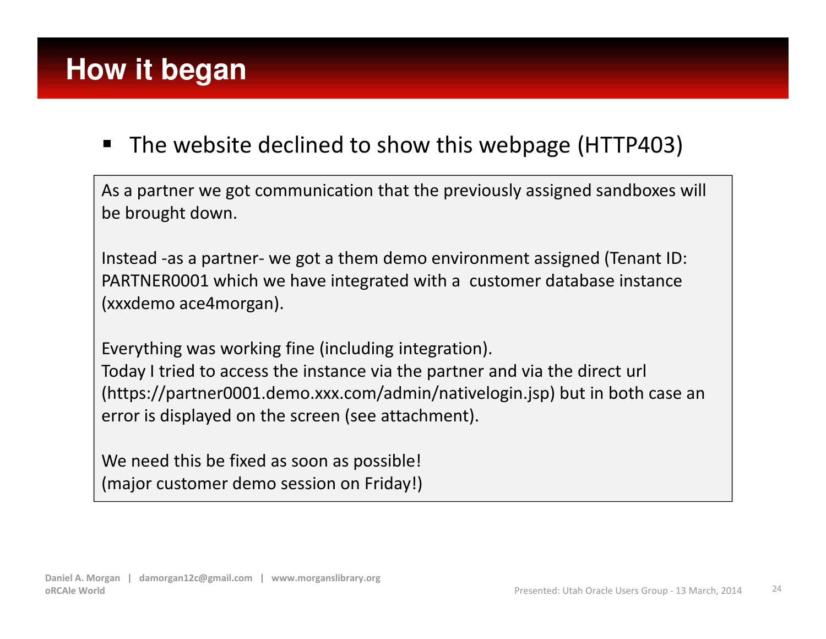#### $\blacksquare$ The website declined to show this webpage (HTTP403)

As a partner we got communication that the previously assigned sandboxes will be brought down.

Instead -as a partner- we got a them demo environment assigned (Tenant ID: PARTNER0001 which we have integrated with a customer database instance (xxxdemo ace4morgan).

Everything was working fine (including integration).

Today I tried to access the instance via the partner and via the direct url(https://partner0001.demo.xxx.com/admin/nativelogin.jsp) but in both case an error is displayed on the screen (see attachment).

We need this be fixed as soon as possible! (major customer demo session on Friday!)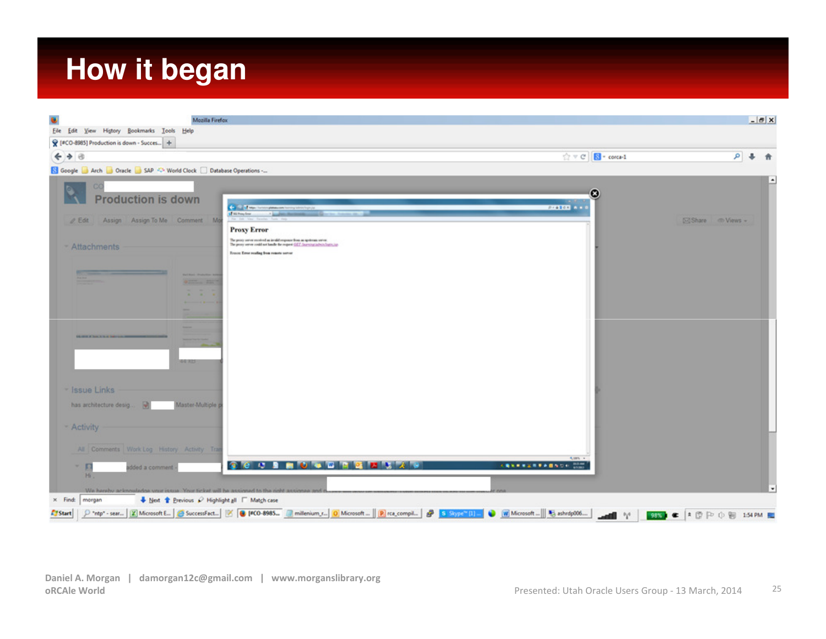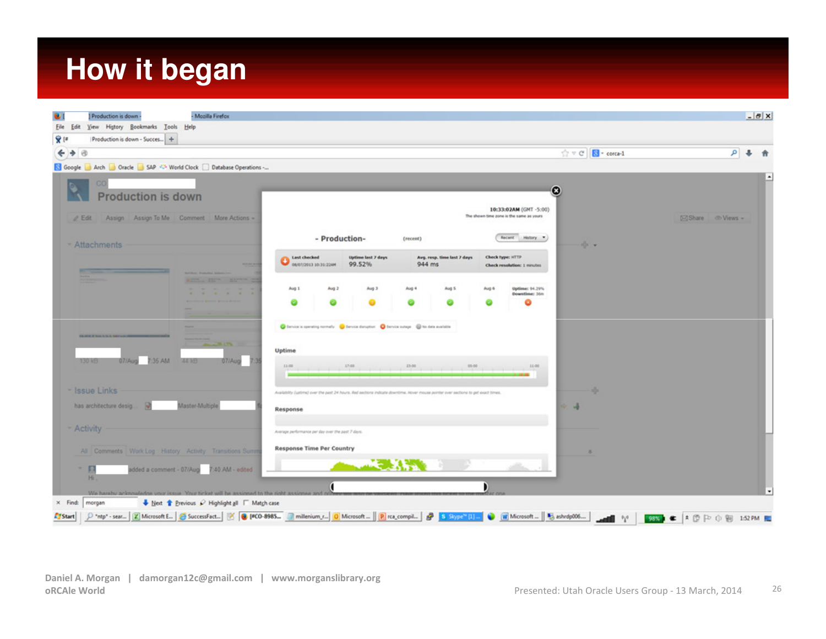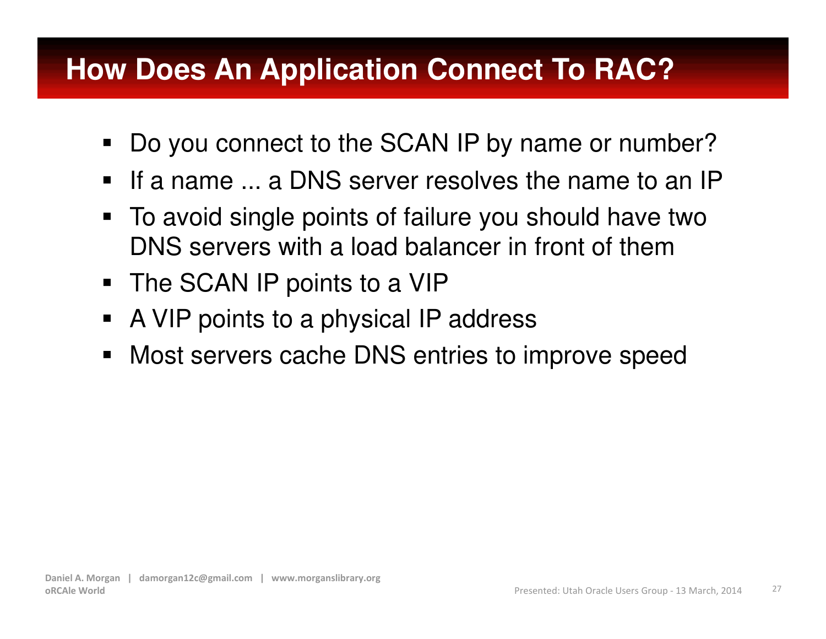### **How Does An Application Connect To RAC?**

- $\blacksquare$  . Do you connect to the SCAN IP by name or number?
- $\blacksquare$ If a name ... a DNS server resolves the name to an IP
- To avoid single points of failure you should have two  $\blacksquare$ DNS servers with a load balancer in front of them
- The SCAN IP points to a VIP
- A VIP points to a physical IP address $\blacksquare$
- Most servers cache DNS entries to improve speed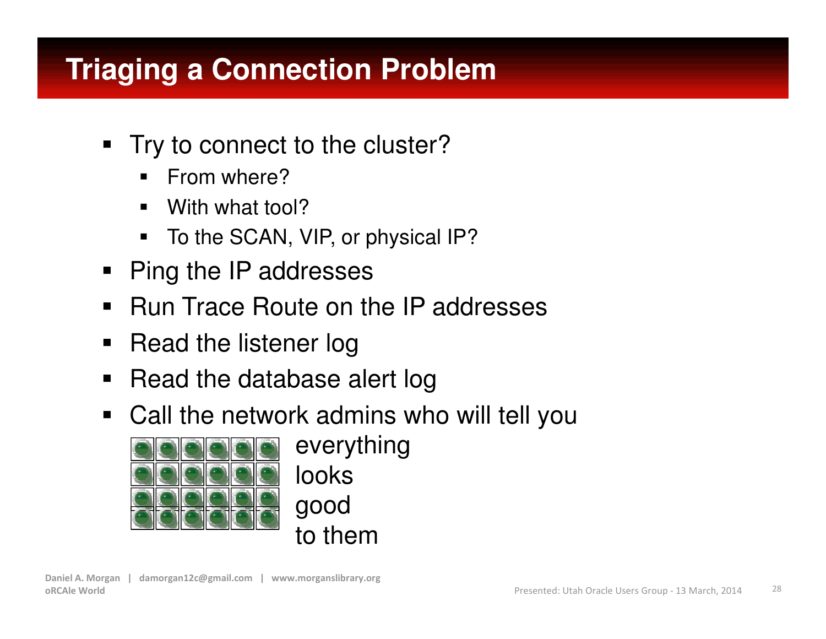## **Triaging a Connection Problem**

- Try to connect to the cluster?
	- $\blacksquare$ From where?
	- With what tool?
	- To the SCAN, VIP, or physical IP?
- $\blacksquare$ Ping the IP addresses
- $\blacksquare$ Run Trace Route on the IP addresses
- $\blacksquare$ Read the listener log
- $\blacksquare$ Read the database alert log
- Call the network admins who will tell you



everythinglooks goodto them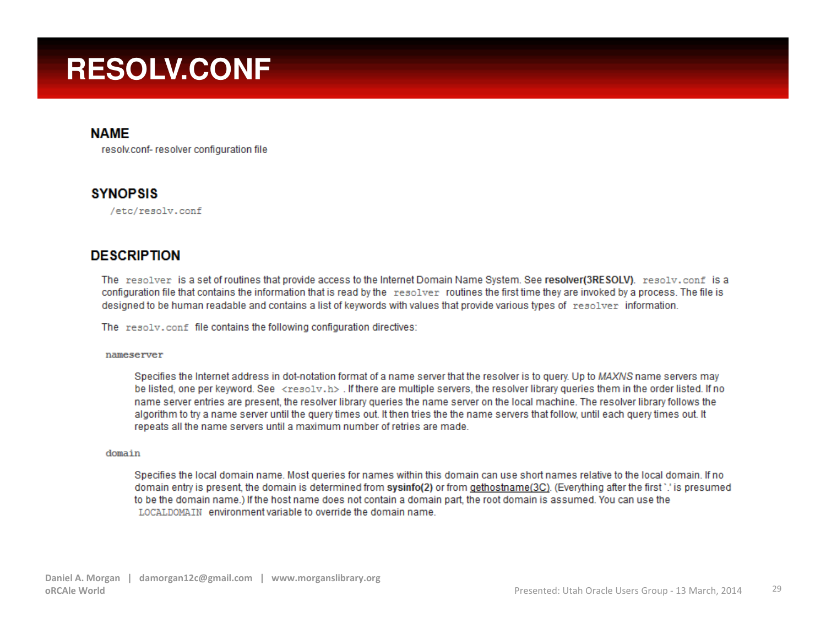### **RESOLV.CONF**

#### **NAME**

resolv.conf- resolver configuration file

#### **SYNOPSIS**

/etc/resolv.conf

#### **DESCRIPTION**

The resolver is a set of routines that provide access to the Internet Domain Name System. See resolver(3RESOLV). resolv.conf is a configuration file that contains the information that is read by the resolver routines the first time they are invoked by a process. The file is designed to be human readable and contains a list of keywords with values that provide various types of resolver information.

The resolv.conf file contains the following configuration directives:

#### nameserver

Specifies the Internet address in dot-notation format of a name server that the resolver is to query. Up to MAXNS name servers may be listed, one per keyword. See <resolv.h>. If there are multiple servers, the resolver library queries them in the order listed. If no name server entries are present, the resolver library queries the name server on the local machine. The resolver library follows the algorithm to try a name server until the query times out. It then tries the the name servers that follow, until each query times out. It repeats all the name servers until a maximum number of retries are made.

#### domain

Specifies the local domain name. Most queries for names within this domain can use short names relative to the local domain. If no domain entry is present, the domain is determined from sysinfo(2) or from gethostname(3C). (Everything after the first `.' is presumed to be the domain name.) If the host name does not contain a domain part, the root domain is assumed. You can use the LOCALDOMAIN environment variable to override the domain name.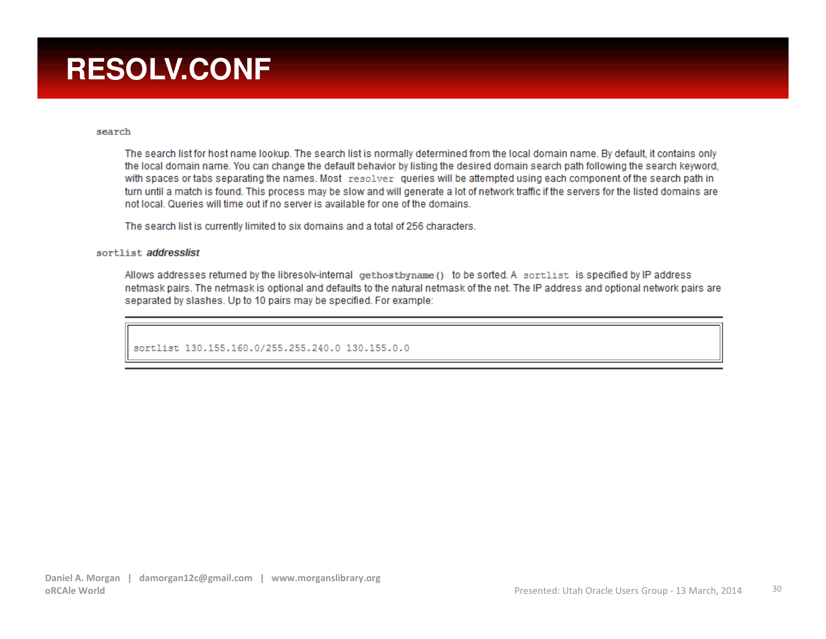## **RESOLV.CONF**

#### search

The search list for host name lookup. The search list is normally determined from the local domain name. By default, it contains only the local domain name. You can change the default behavior by listing the desired domain search path following the search keyword, with spaces or tabs separating the names. Most resolver queries will be attempted using each component of the search path in turn until a match is found. This process may be slow and will generate a lot of network traffic if the servers for the listed domains are not local. Queries will time out if no server is available for one of the domains.

The search list is currently limited to six domains and a total of 256 characters.

#### sortlist addresslist

Allows addresses returned by the libresolv-internal gethostbyname () to be sorted. A sortlist is specified by IP address netmask pairs. The netmask is optional and defaults to the natural netmask of the net. The IP address and optional network pairs are separated by slashes. Up to 10 pairs may be specified. For example:

sortlist 130.155.160.0/255.255.240.0 130.155.0.0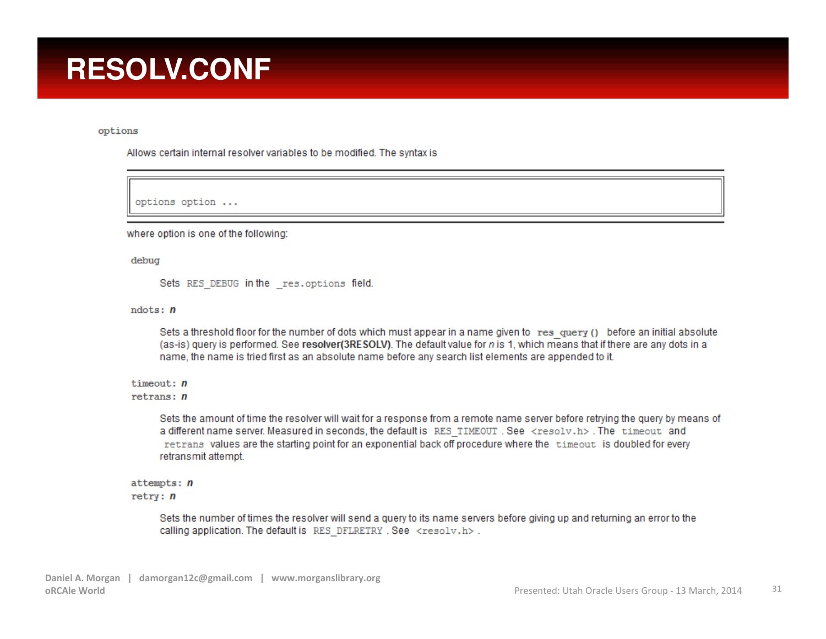### **RESOLV.CONF**

options

Allows certain internal resolver variables to be modified. The syntax is

options option ...

where option is one of the following:

debug

Sets RES\_DEBUG in the \_res.options field.

 $ndots: n$ 

Sets a threshold floor for the number of dots which must appear in a name given to res query () before an initial absolute (as-is) query is performed. See resolver(3RESOLV). The default value for n is 1, which means that if there are any dots in a name, the name is tried first as an absolute name before any search list elements are appended to it.

 $timeout: n$ 

 $returns: n$ 

Sets the amount of time the resolver will wait for a response from a remote name server before retrying the query by means of a different name server. Measured in seconds, the default is RES TIMEOUT. See <resolv.h>. The timeout and retrans values are the starting point for an exponential back off procedure where the timeout is doubled for every retransmit attempt.

 $at$ tempts:  $n$  $retry: n$ 

> Sets the number of times the resolver will send a query to its name servers before giving up and returning an error to the calling application. The default is RES DFLRETRY . See <resolv.h>.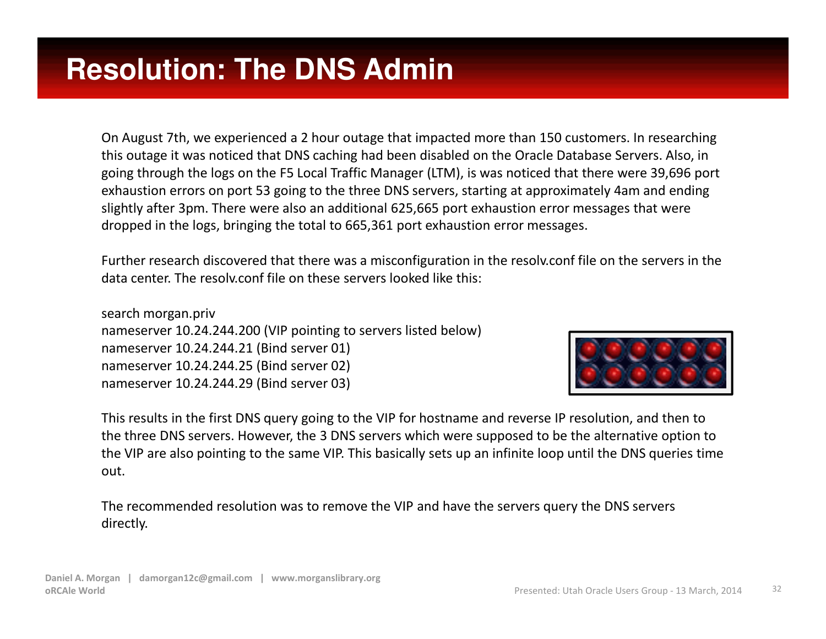On August 7th, we experienced a 2 hour outage that impacted more than 150 customers. In researching this outage it was noticed that DNS caching had been disabled on the Oracle Database Servers. Also, in going through the logs on the F5 Local Traffic Manager (LTM), is was noticed that there were 39,696 port exhaustion errors on port 53 going to the three DNS servers, starting at approximately 4am and ending slightly after 3pm. There were also an additional 625,665 port exhaustion error messages that were dropped in the logs, bringing the total to 665,361 port exhaustion error messages.

Further research discovered that there was a misconfiguration in the resolv.conf file on the servers in the data center. The resolv.conf file on these servers looked like this:

search morgan.priv nameserver 10.24.244.200 (VIP pointing to servers listed below)nameserver 10.24.244.21 (Bind server 01)nameserver 10.24.244.25 (Bind server 02)nameserver 10.24.244.29 (Bind server 03)



This results in the first DNS query going to the VIP for hostname and reverse IP resolution, and then to the three DNS servers. However, the 3 DNS servers which were supposed to be the alternative option to the VIP are also pointing to the same VIP. This basically sets up an infinite loop until the DNS queries time out.

The recommended resolution was to remove the VIP and have the servers query the DNS servers directly.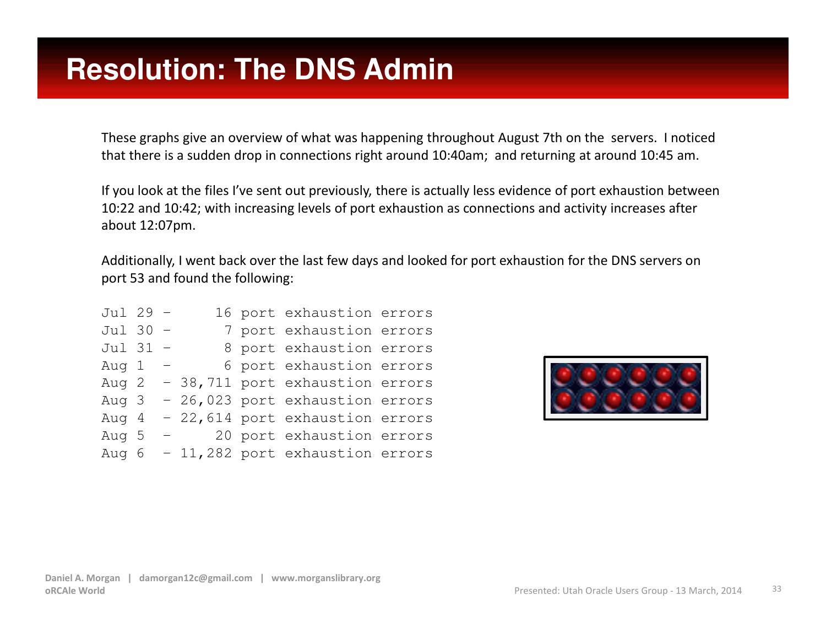These graphs give an overview of what was happening throughout August 7th on the servers. I noticed that there is a sudden drop in connections right around 10:40am; and returning at around 10:45 am.

If you look at the files I've sent out previously, there is actually less evidence of port exhaustion between 10:22 and 10:42; with increasing levels of port exhaustion as connections and activity increases afterabout 12:07pm.

Additionally, I went back over the last few days and looked for port exhaustion for the DNS servers onport 53 and found the following:

| Jul 29 - |  |                                 | 16 port exhaustion errors       |  |
|----------|--|---------------------------------|---------------------------------|--|
| Jul 30 - |  |                                 | 7 port exhaustion errors        |  |
| Jul 31 - |  |                                 | 8 port exhaustion errors        |  |
| Aug 1    |  |                                 | 6 port exhaustion errors        |  |
| Aug 2    |  |                                 | - 38,711 port exhaustion errors |  |
| Aug 3    |  |                                 | - 26,023 port exhaustion errors |  |
| Aug 4    |  |                                 | - 22,614 port exhaustion errors |  |
| Aug 5    |  | $\frac{1}{2}$ and $\frac{1}{2}$ | 20 port exhaustion errors       |  |
| Aug 6    |  |                                 | - 11,282 port exhaustion errors |  |

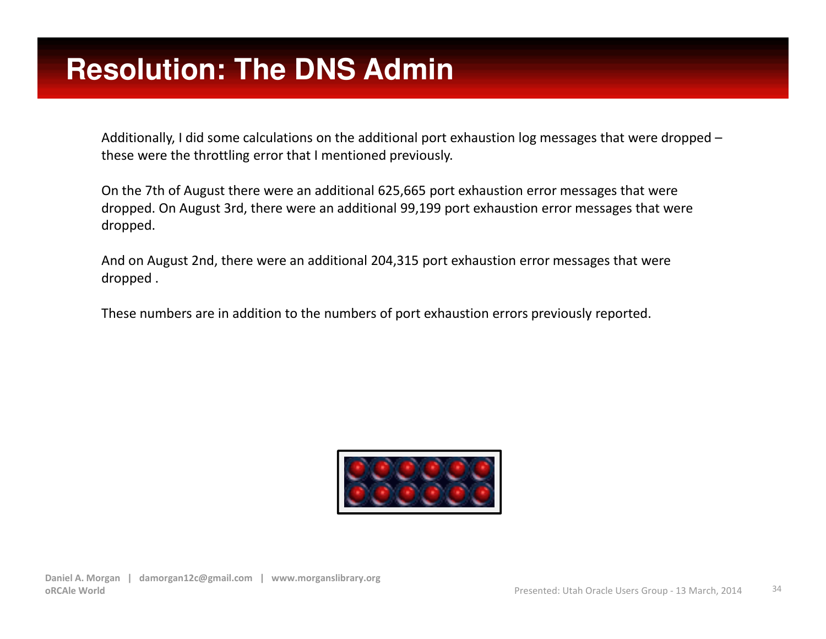Additionally, I did some calculations on the additional port exhaustion log messages that were dropped –these were the throttling error that I mentioned previously.

On the 7th of August there were an additional 625,665 port exhaustion error messages that were dropped. On August 3rd, there were an additional 99,199 port exhaustion error messages that were dropped.

And on August 2nd, there were an additional 204,315 port exhaustion error messages that were dropped .

These numbers are in addition to the numbers of port exhaustion errors previously reported.

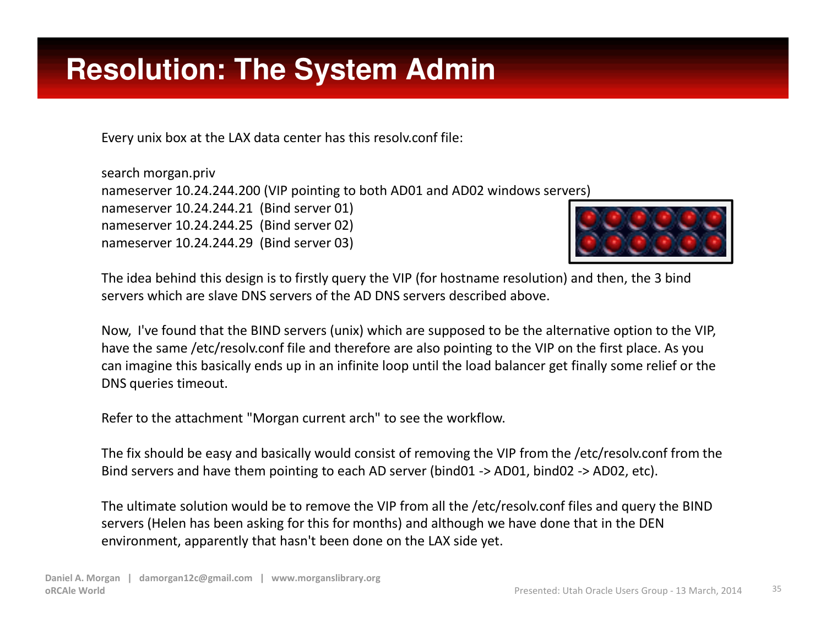## **Resolution: The System Admin**

Every unix box at the LAX data center has this resolv.conf file:

search morgan.priv nameserver 10.24.244.200 (VIP pointing to both AD01 and AD02 windows servers)nameserver 10.24.244.21 (Bind server 01)nameserver 10.24.244.25 (Bind server 02)nameserver 10.24.244.29 (Bind server 03)



The idea behind this design is to firstly query the VIP (for hostname resolution) and then, the 3 bindservers which are slave DNS servers of the AD DNS servers described above.

Now, I've found that the BIND servers (unix) which are supposed to be the alternative option to the VIP, have the same /etc/resolv.conf file and therefore are also pointing to the VIP on the first place. As you can imagine this basically ends up in an infinite loop until the load balancer get finally some relief or the DNS queries timeout.

Refer to the attachment "Morgan current arch" to see the workflow.

The fix should be easy and basically would consist of removing the VIP from the /etc/resolv.conf from the Bind servers and have them pointing to each AD server (bind01 -> AD01, bind02 -> AD02, etc).

The ultimate solution would be to remove the VIP from all the /etc/resolv.conf files and query the BIND servers (Helen has been asking for this for months) and although we have done that in the DEN environment, apparently that hasn't been done on the LAX side yet.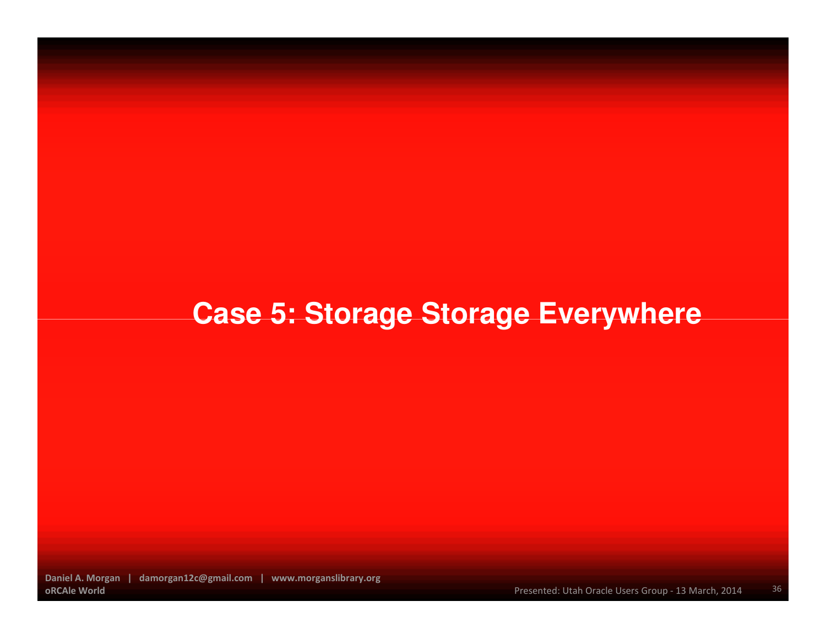# **Case 5: Storage Storage Everywhere**

Daniel A. Morgan | damorgan12c@gmail.com | www.morganslibrary.orgoRCAle World

36Presented: Utah Oracle Users Group - 13 March, 2014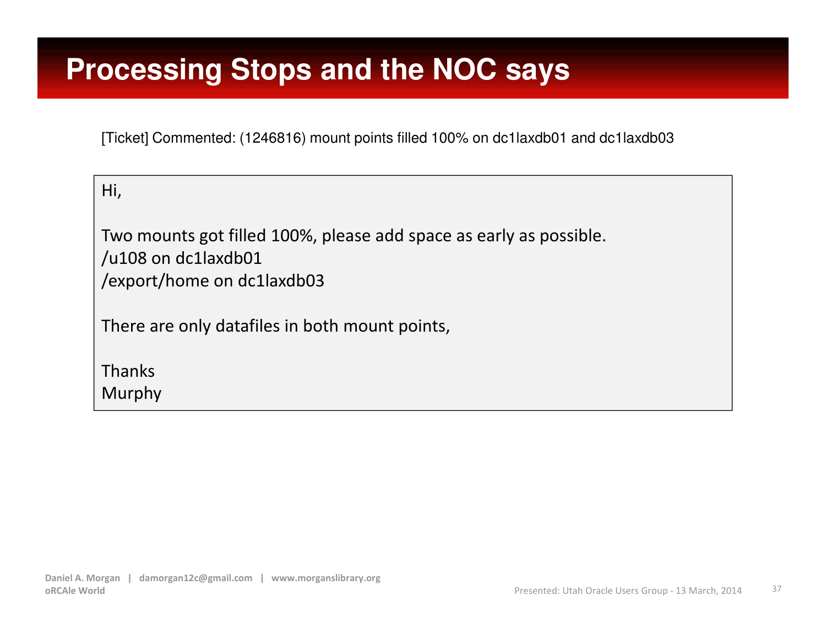#### **Processing Stops and the NOC says**

[Ticket] Commented: (1246816) mount points filled 100% on dc1laxdb01 and dc1laxdb03

| Hi,                                                                                                                                                                                                                                                                                                                                                              |  |  |
|------------------------------------------------------------------------------------------------------------------------------------------------------------------------------------------------------------------------------------------------------------------------------------------------------------------------------------------------------------------|--|--|
| Two mounts got filled 100%<br>$\mathbf{1}$ $\mathbf{2}$ $\mathbf{3}$ $\mathbf{3}$ $\mathbf{4}$ $\mathbf{5}$ $\mathbf{1}$ $\mathbf{5}$ $\mathbf{1}$ $\mathbf{5}$ $\mathbf{1}$ $\mathbf{5}$ $\mathbf{1}$ $\mathbf{5}$ $\mathbf{1}$ $\mathbf{5}$ $\mathbf{1}$ $\mathbf{5}$ $\mathbf{1}$ $\mathbf{5}$ $\mathbf{1}$ $\mathbf{5}$ $\mathbf{1}$ $\mathbf{5}$ $\mathbf{$ |  |  |

6, please add space as early as possible. /u108 on dc1laxdb01/export/home on dc1laxdb03

There are only datafiles in both mount points,

ThanksMurphy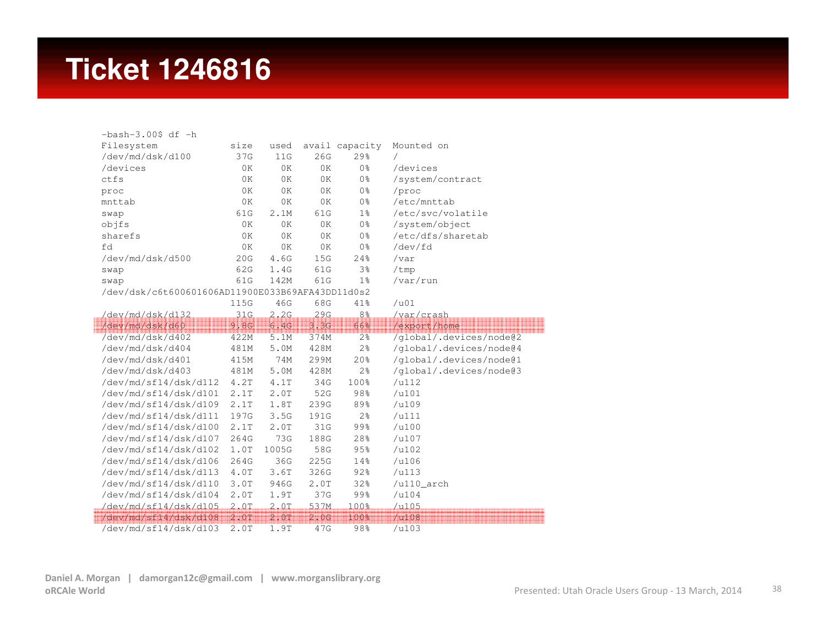#### **Ticket 1246816**

| $-bash-3.00$ \$ df $-h$                          |         |                           |      |                |                         |
|--------------------------------------------------|---------|---------------------------|------|----------------|-------------------------|
| Filesystem                                       | size    | used                      |      | avail capacity | Mounted on              |
| /dev/md/dsk/d100                                 | 37G     | 11G                       | 26G  | 29%            | /                       |
| /devices                                         | 0K      | 0K                        | 0K   | 0 <sup>°</sup> | /devices                |
| ctfs                                             | 0K      | 0K                        | 0K   | 0 <sup>°</sup> | /system/contract        |
| proc                                             | 0K      | 0K                        | 0K   | 0 <sup>°</sup> | /proc                   |
| mnttab                                           | 0K      | 0K                        | 0K   | 0 <sup>°</sup> | /etc/mnttab             |
| swap                                             | 61G     | 2.1M                      | 61G  | $1\frac{6}{6}$ | /etc/svc/volatile       |
| objfs                                            | 0K      | 0K                        | 0K   | 0 <sup>°</sup> | /system/object          |
| sharefs                                          | 0K      | 0K                        | 0K   | 0 <sup>°</sup> | /etc/dfs/sharetab       |
| fd                                               | 0K      | 0K                        | 0K   | 0 <sup>°</sup> | /dev/fd                 |
| /dev/md/dsk/d500                                 | 20G     | 4.6G                      | 15G  | 24%            | /var                    |
| swap                                             | 62G     | 1.4G                      | 61G  | 3%             | /tmp                    |
| swap                                             | 61G     | 142M                      | 61G  | $1\%$          | /var/run                |
| /dev/dsk/c6t600601606AD11900E033B69AFA43DD11d0s2 |         |                           |      |                |                         |
|                                                  | 115G    | 46G                       | 68G  | 41%            | $/$ u01                 |
| /dev/md/dsk/d132                                 | 31G     | 2.2G                      | 29G  | 8 <sup>°</sup> | /var/crash              |
| /dev/md/dsk/d60                                  | 9.8G    | 6.4G                      | 3.3G | 66%            | /export/home            |
| /dev/md/dsk/d402                                 | 422M    | 5.1M                      | 374M | $2\frac{6}{6}$ | /global/.devices/node@2 |
| /dev/md/dsk/d404                                 | 481M    | 5.0M                      | 428M | $2\frac{6}{6}$ | /global/.devices/node@4 |
| /dev/md/dsk/d401                                 | 415M    | 74M                       | 299M | 20%            | /global/.devices/node@1 |
| /dev/md/dsk/d403                                 | 481M    | 5.0M                      | 428M | 2 <sup>°</sup> | /global/.devices/node@3 |
| /dev/md/sf14/dsk/d112                            | 4.2T    | 4.1T                      | 34G  | 100%           | /u112                   |
| /dev/md/sf14/dsk/d101                            | 2.1T    | $2 \, . \, 0 \, \text{T}$ | 52G  | 98%            | /u101                   |
| /dev/md/sf14/dsk/d109                            | 2.1T    | 1.8T                      | 239G | 89%            | /u109                   |
| /dev/md/sf14/dsk/d111                            | 197G    | 3.5G                      | 191G | $2\frac{6}{6}$ | /u111                   |
| /dev/md/sf14/dsk/d100                            | 2.1T    | 2.0T                      | 31G  | 99%            | $/$ u100                |
| /dev/md/sf14/dsk/d107                            | 264G    | 73G                       | 188G | 28%            | $/$ u107                |
| /dev/md/sf14/dsk/d102                            | 1.0T    | 1005G                     | 58G  | 95%            | $/$ u102                |
| /dev/md/sf14/dsk/d106                            | 264G    | 36G                       | 225G | 14%            | $/$ u106                |
| /dev/md/sf14/dsk/d113                            | 4.0T    | 3.6T                      | 326G | 92%            | /u113                   |
| /dev/md/sf14/dsk/d110                            |         |                           | 2.0T | 32%            | $/u110$ _arch           |
|                                                  | 3.0T    | 946G                      |      |                |                         |
| /dev/md/sf14/dsk/d104                            | 2.0T    | 1.9T                      | 37G  | 99%            | $/$ u104                |
| /dev/md/sf14/dsk/d105                            | $2.0$ T | 2.0                       | 537M | 100%           | $/$ u $105$             |
| /dev/md/sf14/dsk/d108                            | 2.0T    | 2.01                      | 2.0G | 100%           | $/$ u108                |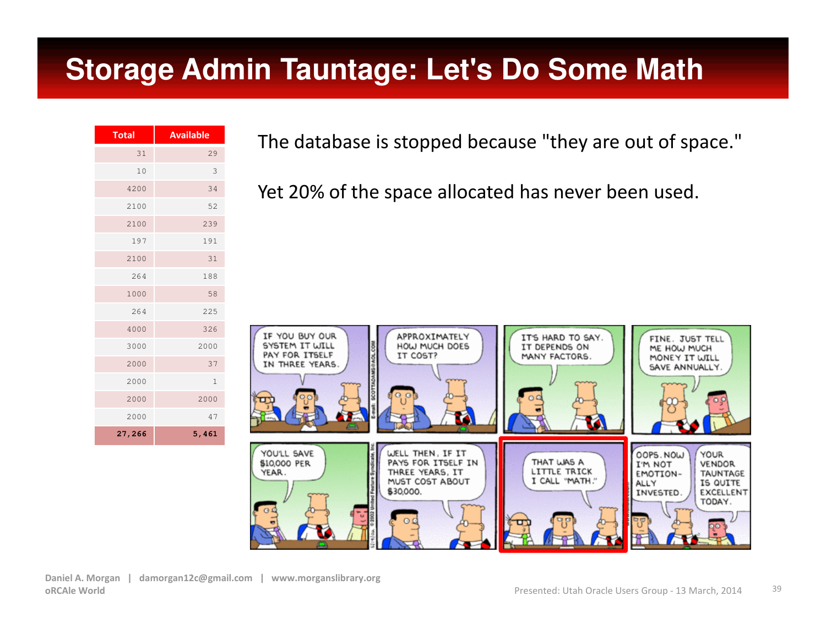#### **Storage Admin Tauntage: Let's Do Some Math**

| <b>Total</b> | <b>Available</b> |
|--------------|------------------|
| 31           | 29               |
| 10           | 3                |
| 4200         | 34               |
| 2100         | 52               |
| 2100         | 239              |
| 197          | 191              |
| 2100         | 31               |
| 264          | 188              |
| 1000         | 58               |
| 264          | 225              |
| 4000         | 326              |
| 3000         | 2000             |
| 2000         | 37               |
| 2000         | $\mathbf{1}$     |
| 2000         | 2000             |
| 2000         | 47               |
| 27,266       | 5,461            |

The database is stopped because "they are out of space."

Yet 20% of the space allocated has never been used.

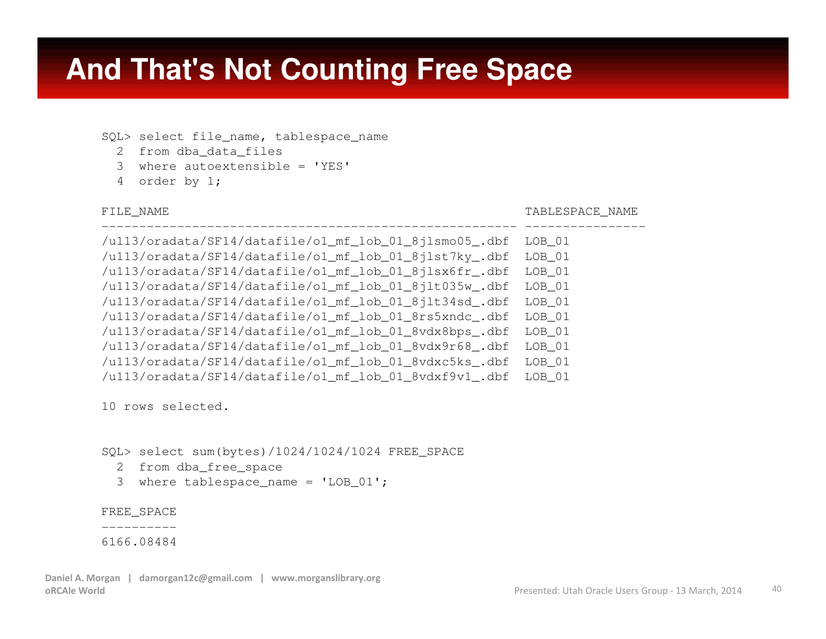#### **And That's Not Counting Free Space**

-------------------------------------------------------

SQL> select file name, tablespace name

- 2 from dba\_data\_files
- 3 where autoextensible <sup>=</sup>'YES'
- 4 order by 1;

FILE\_NAME TABLESPACE\_NAME

 ---------------- /u113/oradata/SF14/datafile/o1\_mf\_lob\_01\_8jlsmo05\_.dbf LOB\_01 /u113/oradata/SF14/datafile/o1\_mf\_lob\_01\_8jlst7ky\_.dbf LOB\_01 /u113/oradata/SF14/datafile/o1\_mf\_lob\_01\_8jlsx6fr\_.dbf LOB\_01LOB 01 /u113/oradata/SF14/datafile/o1 mf lob 01 8jlt035w.dbf LOB 01 /u113/oradata/SF14/datafile/o1 mf lob 01 8jlt34sd.dbf /u113/oradata/SF14/datafile/o1\_mf\_lob\_01\_8rs5xndc\_.dbf LOB\_01 /u113/oradata/SF14/datafile/o1\_mf\_lob\_01\_8vdx8bps\_.dbf LOB\_01LOB 01 /u113/oradata/SF14/datafile/o1\_mf\_lob\_01\_8vdx9r68\_.dbf LOB 01 /u113/oradata/SF14/datafile/o1 mf lob 01 8vdxc5ks.dbf /u113/oradata/SF14/datafile/o1\_mf\_lob\_01\_8vdxf9v1\_.dbf LOB\_01

10 rows selected.

SQL> select sum(bytes)/1024/1024/1024 FREE\_SPACE

- 2 from dba\_free\_space
- 3 where tablespace\_name <sup>=</sup>'LOB\_01';

FREE\_SPACE

----------

6166.08484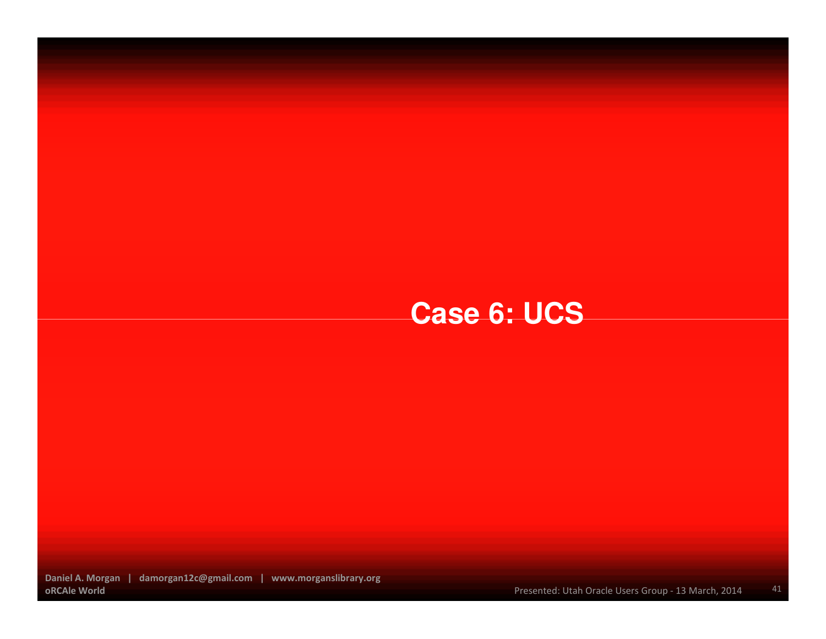## **Case 6: UCS**

Daniel A. Morgan | damorgan12c@gmail.com | www.morganslibrary.orgoRCAle World

Presented: Utah Oracle Users Group - 13 March, 2014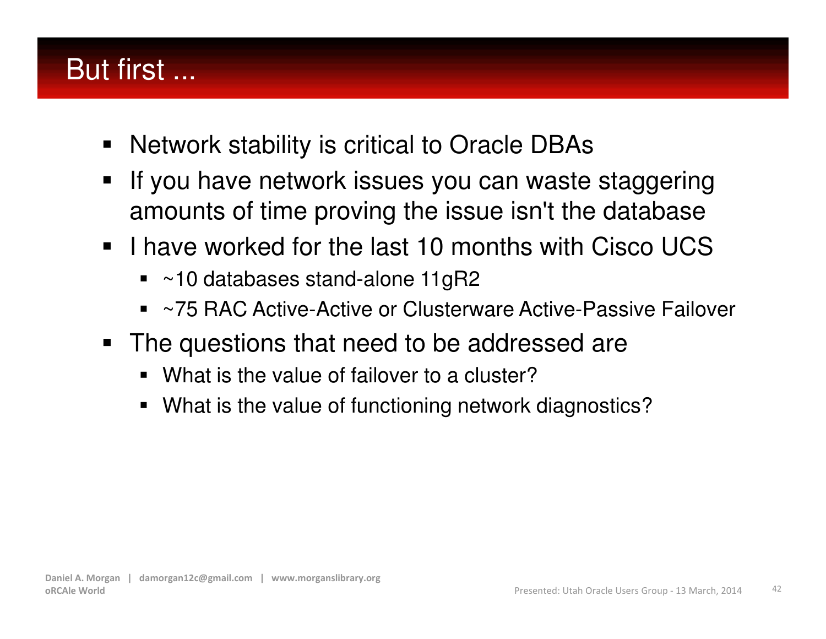## But first ...

- $\blacksquare$ Network stability is critical to Oracle DBAs
- $\blacksquare$  If you have network issues you can waste staggering amounts of time proving the issue isn't the database
- $\blacksquare$  I have worked for the last 10 months with Cisco UCS
	- $\textcolor{blue}\blacksquare$  ~10 databases stand-alone 11gR2
	- ٠ ~75 RAC Active-Active or Clusterware Active-Passive Failover
- The questions that need to be addressed are
	- What is the value of failover to a cluster?
	- What is the value of functioning network diagnostics?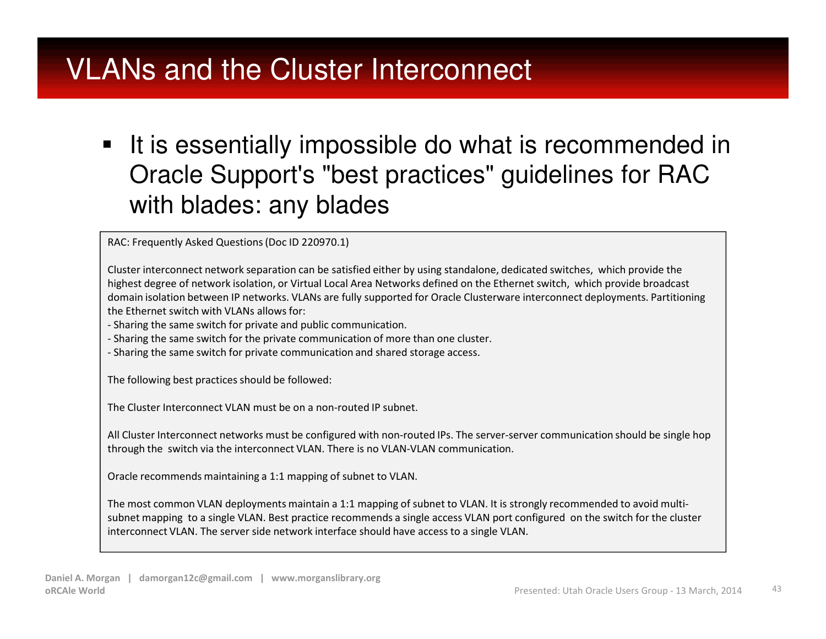#### VLANs and the Cluster Interconnect

 $\blacksquare$  It is essentially impossible do what is recommended in Oracle Support's "best practices" guidelines for RAC with blades: any blades

RAC: Frequently Asked Questions (Doc ID 220970.1)

Cluster interconnect network separation can be satisfied either by using standalone, dedicated switches, which provide the highest degree of network isolation, or Virtual Local Area Networks defined on the Ethernet switch, which provide broadcast domain isolation between IP networks. VLANs are fully supported for Oracle Clusterware interconnect deployments. Partitioningthe Ethernet switch with VLANs allows for:

- Sharing the same switch for private and public communication.

- Sharing the same switch for the private communication of more than one cluster.

- Sharing the same switch for private communication and shared storage access.

The following best practices should be followed:

The Cluster Interconnect VLAN must be on a non-routed IP subnet.

All Cluster Interconnect networks must be configured with non-routed IPs. The server-server communication should be single hop through the switch via the interconnect VLAN. There is no VLAN-VLAN communication.

Oracle recommends maintaining a 1:1 mapping of subnet to VLAN.

The most common VLAN deployments maintain a 1:1 mapping of subnet to VLAN. It is strongly recommended to avoid multisubnet mapping to a single VLAN. Best practice recommends a single access VLAN port configured on the switch for the cluster interconnect VLAN. The server side network interface should have access to a single VLAN.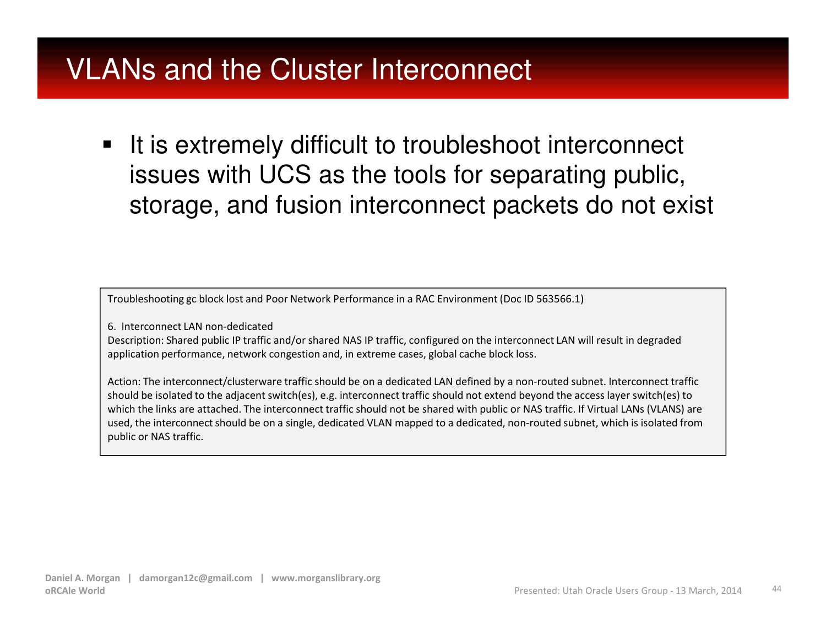#### VLANs and the Cluster Interconnect

 $\blacksquare$  It is extremely difficult to troubleshoot interconnect issues with UCS as the tools for separating public, storage, and fusion interconnect packets do not exist

Troubleshooting gc block lost and Poor Network Performance in a RAC Environment (Doc ID 563566.1)

6. Interconnect LAN non-dedicated

 Description: Shared public IP traffic and/or shared NAS IP traffic, configured on the interconnect LAN will result in degraded application performance, network congestion and, in extreme cases, global cache block loss.

Action: The interconnect/clusterware traffic should be on a dedicated LAN defined by a non-routed subnet. Interconnect traffic should be isolated to the adjacent switch(es), e.g. interconnect traffic should not extend beyond the access layer switch(es) to which the links are attached. The interconnect traffic should not be shared with public or NAS traffic. If Virtual LANs (VLANS) are used, the interconnect should be on a single, dedicated VLAN mapped to a dedicated, non-routed subnet, which is isolated from public or NAS traffic.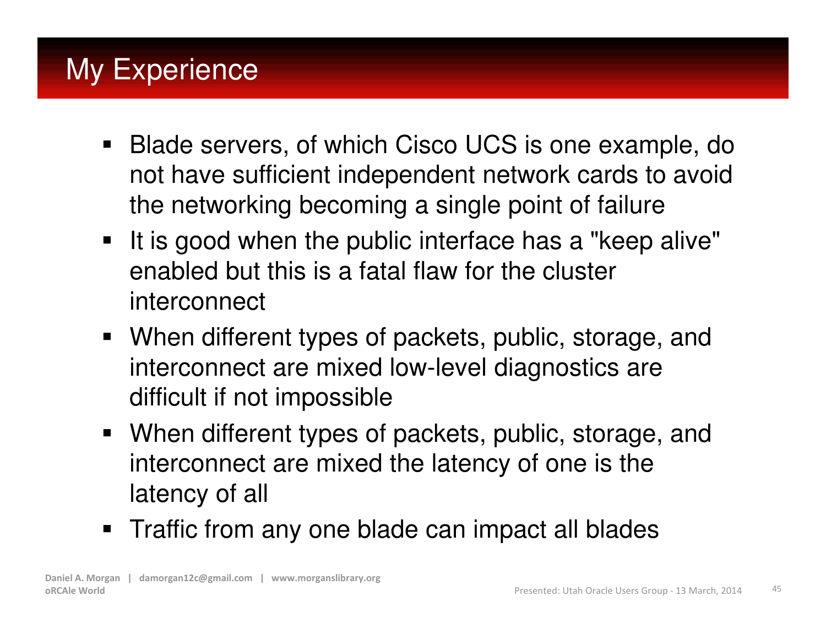## My Experience

- $\blacksquare$  Blade servers, of which Cisco UCS is one example, do not have sufficient independent network cards to avoid the networking becoming a single point of failure
- $\blacksquare$  It is good when the public interface has a "keep alive" enabled but this is a fatal flaw for the cluster interconnect
- When different types of packets, public, storage, and interconnect are mixed low-level diagnostics are difficult if not impossible
- When different types of packets, public, storage, and interconnect are mixed the latency of one is the latency of all
- $\textcolor{red}{\bullet}$  Traffic from any one blade can impact all blades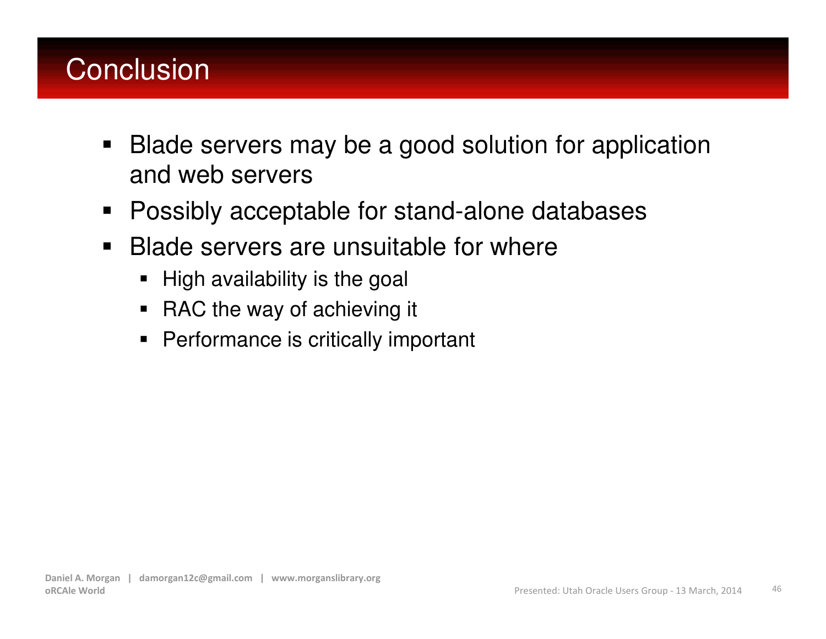## **Conclusion**

- $\blacksquare$  Blade servers may be a good solution for application and web servers
- $\blacksquare$ Possibly acceptable for stand-alone databases
- $\blacksquare$  Blade servers are unsuitable for where
	- $\blacksquare$ High availability is the goal
	- RAC the way of achieving it
	- Performance is critically important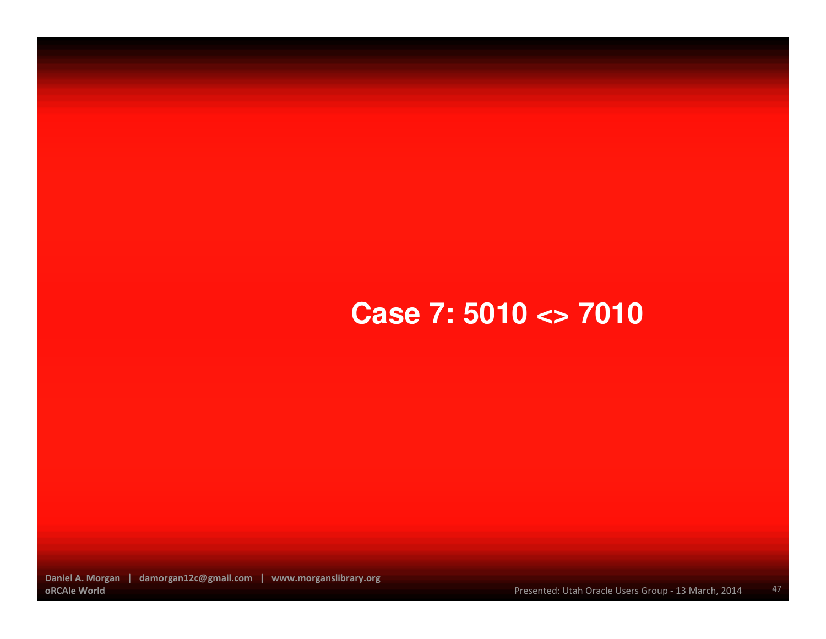#### **Case 7: 5010 <> 7010**

Daniel A. Morgan | damorgan12c@gmail.com | www.morganslibrary.orgoRCAle World

47Presented: Utah Oracle Users Group - 13 March, 2014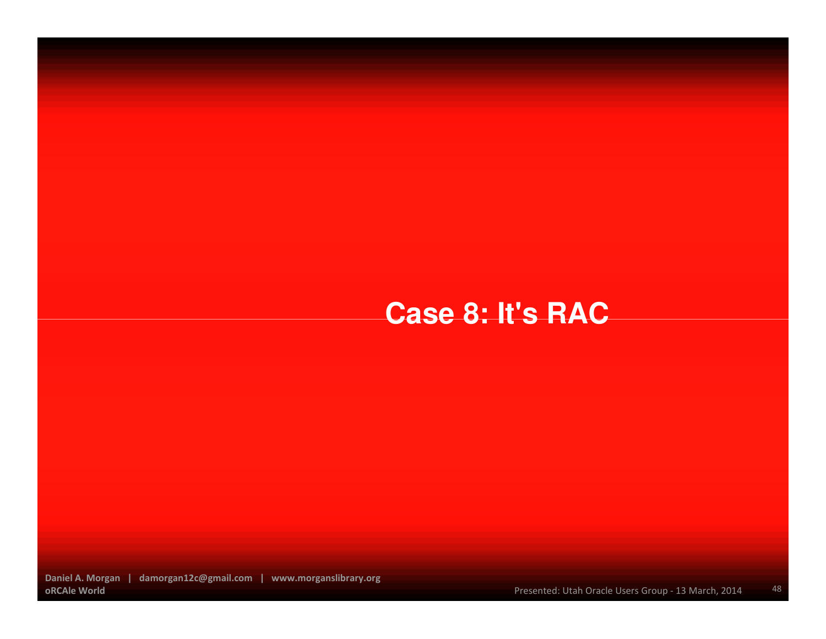### **Case 8: It's RAC**

Daniel A. Morgan | damorgan12c@gmail.com | www.morganslibrary.orgoRCAle World

48Presented: Utah Oracle Users Group - 13 March, 2014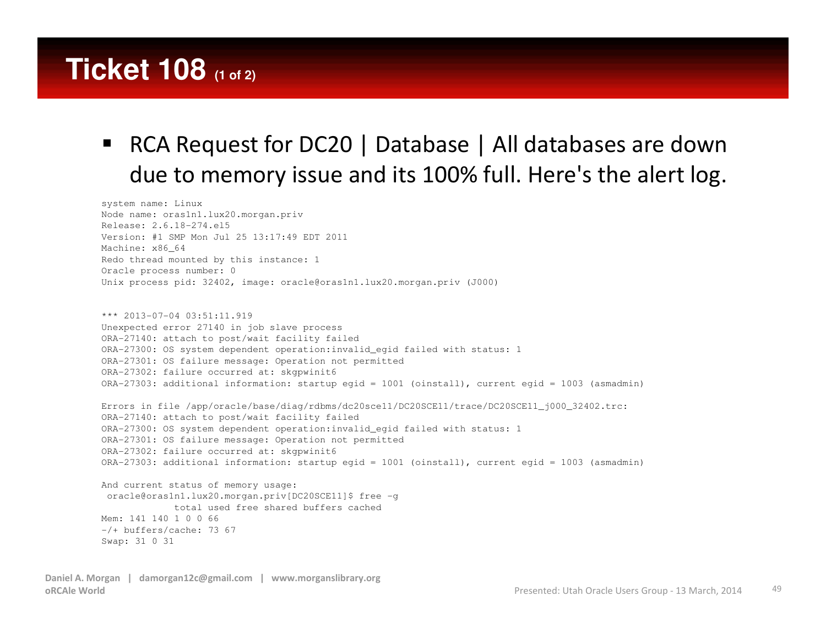### **Ticket 108 (1 of 2)**

#### $\blacksquare$  RCA Request for DC20 | Database | All databases are down due to memory issue and its 100% full. Here's the alert log.

system name: Linux Node name: oras1n1.lux20.morgan.privRelease: 2.6.18-274.el5 Version: #1 SMP Mon Jul 25 13:17:49 EDT 2011Machine: x86\_64 Redo thread mounted by this instance: 1Oracle process number: 0Unix process pid: 32402, image: oracle@oras1n1.lux20.morgan.priv (J000)

```
*** 2013-07-04 03:51:11.919

Unexpected error 27140 in job slave process
ORA-27140: attach to post/wait facility failed
ORA-27300: OS system dependent operation:invalid_egid failed with status: 1
ORA-27301: OS failure message: Operation not permittedORA-27302: failure occurred at: skgpwinit6
ORA-27303: additional information: startup egid = 1001 (oinstall), current egid = 1003 (asmadmin)
Errors in file /app/oracle/base/diag/rdbms/dc20sce11/DC20SCE11/trace/DC20SCE11_j000_32402.trc:ORA-27140: attach to post/wait facility failed
ORA-27300: OS system dependent operation:invalid_egid failed with status: 1
ORA-27301: OS failure message: Operation not permittedORA-27302: failure occurred at: skgpwinit6
ORA-27303: additional information: startup egid = 1001 (oinstall), current egid = 1003 (asmadmin)
And current status of memory usage:
oracle@oras1n1.lux20.morgan.priv[DC20SCE11]$ free -gtotal used free shared buffers cached
```
Mem: 141 140 1 0 0 66 -/+ buffers/cache: 73 67Swap: 31 0 31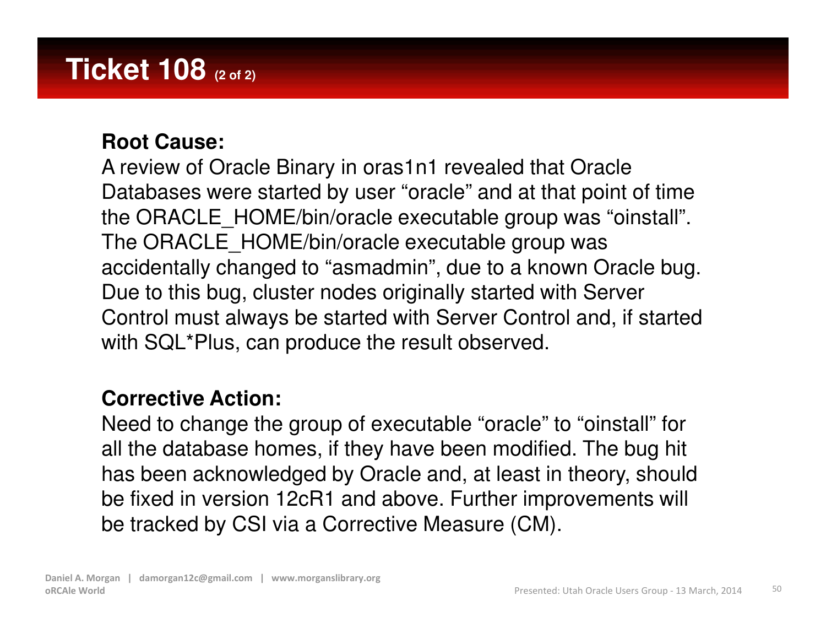### **Ticket 108 (2 of 2)**

#### **Root Cause:**

A review of Oracle Binary in oras1n1 revealed that Oracle Databases were started by user "oracle" and at that point of time the ORACLE\_HOME/bin/oracle executable group was "oinstall". The ORACLE HOME/bin/oracle executable group was accidentally changed to "asmadmin", due to a known Oracle bug. Due to this bug, cluster nodes originally started with Server Control must always be started with Server Control and, if started with SQL\*Plus, can produce the result observed.

#### **Corrective Action:**

Need to change the group of executable "oracle" to "oinstall" for all the database homes, if they have been modified. The bug hit has been acknowledged by Oracle and, at least in theory, should be fixed in version 12cR1 and above. Further improvements will be tracked by CSI via a Corrective Measure (CM).